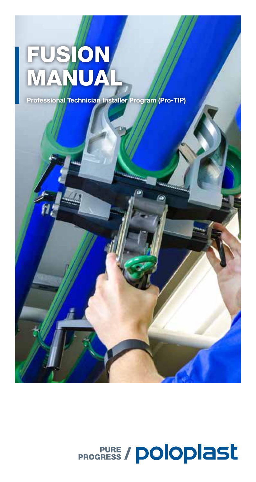# FUSION MANUAL

Professional Technician Installer Program (Pro-TIP)

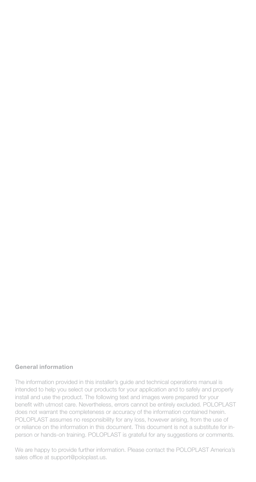#### General information

The information provided in this installer's guide and technical operations manual is intended to help you select our products for your application and to safely and properly install and use the product. The following text and images were prepared for your benefit with utmost care. Nevertheless, errors cannot be entirely excluded. POLOPLAST does not warrant the completeness or accuracy of the information contained herein. POLOPLAST assumes no responsibility for any loss, however arising, from the use of or reliance on the information in this document. This document is not a substitute for inperson or hands-on training. POLOPLAST is grateful for any suggestions or comments.

We are happy to provide further information. Please contact the POLOPLAST America's sales office at support@poloplast.us.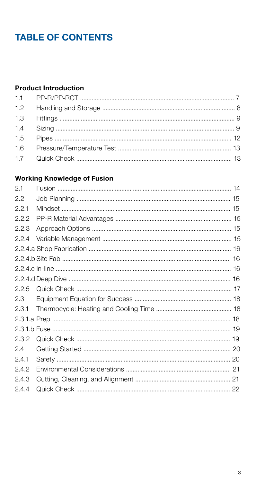### **TABLE OF CONTENTS**

#### **Product Introduction**

#### **Working Knowledge of Fusion**

| 2.1   |  |
|-------|--|
| 2.2   |  |
| 2.2.1 |  |
| 2.2.2 |  |
| 2.2.3 |  |
| 2.2.4 |  |
|       |  |
|       |  |
|       |  |
|       |  |
| 2.2.5 |  |
| 2.3   |  |
| 2.3.1 |  |
|       |  |
|       |  |
| 2.3.2 |  |
| 2.4   |  |
| 2.4.1 |  |
| 2.4.2 |  |
| 2.4.3 |  |
| 2.4.4 |  |
|       |  |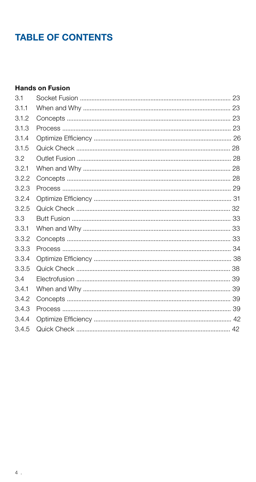### **TABLE OF CONTENTS**

#### **Hands on Fusion**

| 3.1   |  |
|-------|--|
| 3.1.1 |  |
| 3.1.2 |  |
| 3.1.3 |  |
| 3.1.4 |  |
| 3.1.5 |  |
| 3.2   |  |
| 3.2.1 |  |
| 3.2.2 |  |
| 3.2.3 |  |
| 3.2.4 |  |
| 3.2.5 |  |
| 3.3   |  |
| 3.3.1 |  |
| 3.3.2 |  |
| 3.3.3 |  |
| 3.3.4 |  |
| 3.3.5 |  |
| 3.4   |  |
| 3.4.1 |  |
| 3.4.2 |  |
| 3.4.3 |  |
| 3.4.4 |  |
| 3.4.5 |  |
|       |  |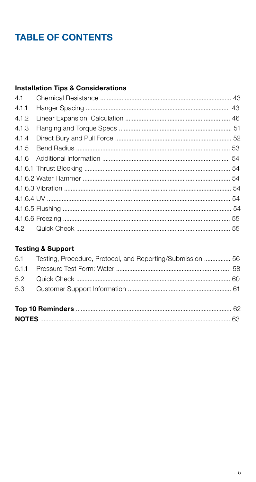### **TABLE OF CONTENTS**

#### **Installation Tips & Considerations**

#### **Testing & Support**

|  | 5.1 Testing, Procedure, Protocol, and Reporting/Submission  56 |  |  |  |  |  |
|--|----------------------------------------------------------------|--|--|--|--|--|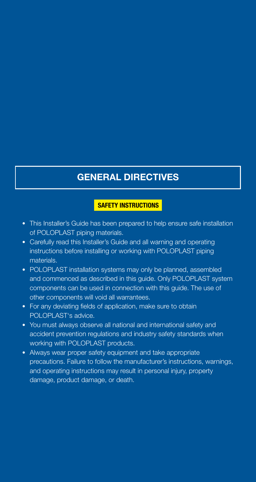### GENERAL DIRECTIVES

#### SAFETY INSTRUCTIONS

- This Installer's Guide has been prepared to help ensure safe installation of POLOPLAST piping materials.
- Carefully read this Installer's Guide and all warning and operating instructions before installing or working with POLOPLAST piping materials.
- POLOPLAST installation systems may only be planned, assembled and commenced as described in this guide. Only POLOPLAST system components can be used in connection with this guide. The use of other components will void all warrantees.
- For any deviating fields of application, make sure to obtain POLOPLAST's advice.
- You must always observe all national and international safety and accident prevention regulations and industry safety standards when working with POLOPLAST products.
- Always wear proper safety equipment and take appropriate precautions. Failure to follow the manufacturer's instructions, warnings, and operating instructions may result in personal injury, property damage, product damage, or death.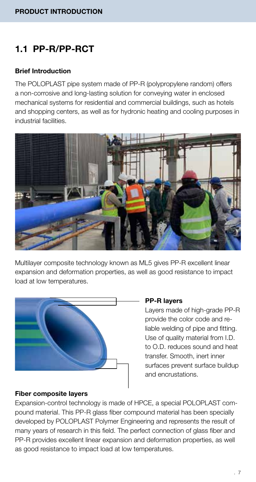### 1.1 PP-R/PP-RCT

#### Brief Introduction

The POLOPLAST pipe system made of PP-R (polypropylene random) offers a non-corrosive and long-lasting solution for conveying water in enclosed mechanical systems for residential and commercial buildings, such as hotels and shopping centers, as well as for hydronic heating and cooling purposes in industrial facilities.



Multilayer composite technology known as ML5 gives PP-R excellent linear expansion and deformation properties, as well as good resistance to impact load at low temperatures.



#### PP-R layers

Layers made of high-grade PP-R provide the color code and reliable welding of pipe and fitting. Use of quality material from I.D. to O.D. reduces sound and heat transfer. Smooth, inert inner surfaces prevent surface buildup and encrustations.

#### Fiber composite layers

Expansion-control technology is made of HPCE, a special POLOPLAST compound material. This PP-R glass fiber compound material has been specially developed by POLOPLAST Polymer Engineering and represents the result of many years of research in this field. The perfect connection of glass fiber and PP-R provides excellent linear expansion and deformation properties, as well as good resistance to impact load at low temperatures.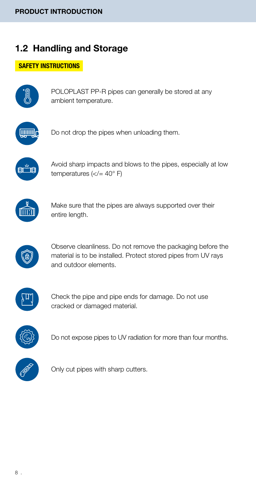### 1.2 Handling and Storage

#### SAFETY INSTRUCTIONS



POLOPLAST PP-R pipes can generally be stored at any ambient temperature.



Do not drop the pipes when unloading them.



Avoid sharp impacts and blows to the pipes, especially at low temperatures  $(<=40°$  F)



Make sure that the pipes are always supported over their entire length.



Observe cleanliness. Do not remove the packaging before the material is to be installed. Protect stored pipes from UV rays and outdoor elements.



Check the pipe and pipe ends for damage. Do not use cracked or damaged material.



Do not expose pipes to UV radiation for more than four months.



Only cut pipes with sharp cutters.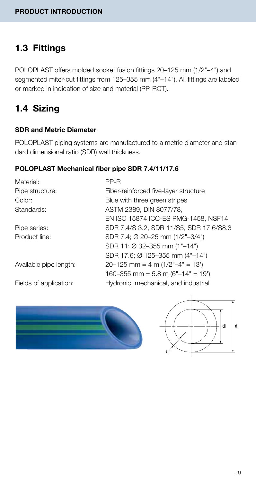### 1.3 Fittings

POLOPLAST offers molded socket fusion fittings 20–125 mm (1/2"–4") and segmented miter-cut fittings from 125–355 mm (4"–14"). All fittings are labeled or marked in indication of size and material (PP-RCT).

### 1.4 Sizing

#### SDR and Metric Diameter

POLOPLAST piping systems are manufactured to a metric diameter and standard dimensional ratio (SDR) wall thickness.

#### POLOPLAST Mechanical fiber pipe SDR 7.4/11/17.6

Material: PP-R

Pipe structure: Fiber-reinforced five-layer structure Color: Blue with three green stripes Standards: ASTM 2389, DIN 8077/78, EN ISO 15874 ICC-ES PMG-1458, NSF14 Pipe series: SDR 7.4/S 3.2, SDR 11/S5, SDR 17.6/S8.3 Product line: SDR 7.4; Ø 20–25 mm (1/2"–3/4") SDR 11; Ø 32–355 mm (1"–14") SDR 17.6; Ø 125–355 mm (4"–14") Available pipe length:  $20-125$  mm = 4 m  $(1/2 - 4)$  = 13') 160–355 mm =  $5.8$  m (6"–14" = 19') Fields of application: Hydronic, mechanical, and industrial



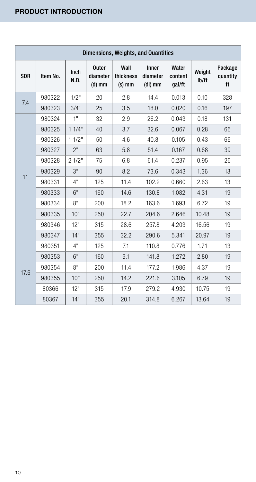| Dimensions, Weights, and Quantities |          |              |                                      |                               |                              |                            |                 |                           |
|-------------------------------------|----------|--------------|--------------------------------------|-------------------------------|------------------------------|----------------------------|-----------------|---------------------------|
| <b>SDR</b>                          | Item No. | Inch<br>N.D. | <b>Outer</b><br>diameter<br>$(d)$ mm | Wall<br>thickness<br>$(s)$ mm | Inner<br>diameter<br>(di) mm | Water<br>content<br>gal/ft | Weight<br>lb/ft | Package<br>quantity<br>ft |
| 7.4                                 | 980322   | 1/2"         | 20                                   | 2.8                           | 14.4                         | 0.013                      | 0.10            | 328                       |
|                                     | 980323   | 3/4"         | 25                                   | 3.5                           | 18.0                         | 0.020                      | 0.16            | 197                       |
|                                     | 980324   | 1"           | 32                                   | 2.9                           | 26.2                         | 0.043                      | 0.18            | 131                       |
|                                     | 980325   | 11/4"        | 40                                   | 3.7                           | 32.6                         | 0.067                      | 0.28            | 66                        |
|                                     | 980326   | 11/2"        | 50                                   | 4.6                           | 40.8                         | 0.105                      | 0.43            | 66                        |
|                                     | 980327   | 2"           | 63                                   | 5.8                           | 51.4                         | 0.167                      | 0.68            | 39                        |
|                                     | 980328   | 21/2"        | 75                                   | 6.8                           | 61.4                         | 0.237                      | 0.95            | 26                        |
| 11                                  | 980329   | 3"           | 90                                   | 8.2                           | 73.6                         | 0.343                      | 1.36            | 13                        |
|                                     | 980331   | 4"           | 125                                  | 11.4                          | 102.2                        | 0.660                      | 2.63            | 13                        |
|                                     | 980333   | 6"           | 160                                  | 14.6                          | 130.8                        | 1.082                      | 4.31            | 19                        |
|                                     | 980334   | 8"           | 200                                  | 18.2                          | 163.6                        | 1.693                      | 6.72            | 19                        |
|                                     | 980335   | 10"          | 250                                  | 22.7                          | 204.6                        | 2.646                      | 10.48           | 19                        |
|                                     | 980346   | 12"          | 315                                  | 28.6                          | 257.8                        | 4.203                      | 16.56           | 19                        |
|                                     | 980347   | 14"          | 355                                  | 32.2                          | 290.6                        | 5.341                      | 20.97           | 19                        |
|                                     | 980351   | 4"           | 125                                  | 7.1                           | 110.8                        | 0.776                      | 1.71            | 13                        |
|                                     | 980353   | 6"           | 160                                  | 9.1                           | 141.8                        | 1.272                      | 2.80            | 19                        |
|                                     | 980354   | 8"           | 200                                  | 11.4                          | 177.2                        | 1.986                      | 4.37            | 19                        |
| 17.6                                | 980355   | 10"          | 250                                  | 14.2                          | 221.6                        | 3.105                      | 6.79            | 19                        |
|                                     | 80366    | 12"          | 315                                  | 17.9                          | 279.2                        | 4.930                      | 10.75           | 19                        |
|                                     | 80367    | 14"          | 355                                  | 20.1                          | 314.8                        | 6.267                      | 13.64           | 19                        |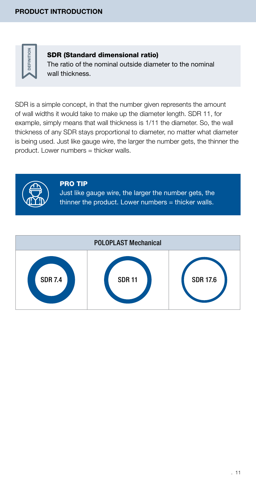

#### SDR (Standard dimensional ratio)

The ratio of the nominal outside diameter to the nominal wall thickness.

SDR is a simple concept, in that the number given represents the amount of wall widths it would take to make up the diameter length. SDR 11, for example, simply means that wall thickness is 1/11 the diameter. So, the wall thickness of any SDR stays proportional to diameter, no matter what diameter is being used. Just like gauge wire, the larger the number gets, the thinner the product. Lower numbers = thicker walls.



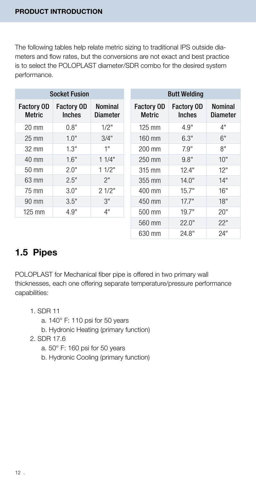The following tables help relate metric sizing to traditional IPS outside diameters and flow rates, but the conversions are not exact and best practice is to select the POLOPLAST diameter/SDR combo for the desired system performance.

| <b>Socket Fusion</b>        |                                    |                            |  |  |  |
|-----------------------------|------------------------------------|----------------------------|--|--|--|
| <b>Factory OD</b><br>Metric | <b>Factory OD</b><br><b>Inches</b> | <b>Nominal</b><br>Diameter |  |  |  |
| 20 mm                       | 0.8"                               | 1/2"                       |  |  |  |
| $25 \text{ mm}$             | 1.0"                               | 3/4"                       |  |  |  |
| 32 mm                       | 1.3"                               | 1"                         |  |  |  |
| $40 \text{ mm}$             | 1.6"                               | 11/4"                      |  |  |  |
| $50 \text{ mm}$             | 2.0"                               | 11/2"                      |  |  |  |
| 63 mm                       | 2.5"                               | 2"                         |  |  |  |
| 75 mm                       | 3.0"                               | 21/2"                      |  |  |  |
| $90 \text{ mm}$             | 3.5"                               | 3"                         |  |  |  |
| $125 \text{ mm}$            | 4.9"                               | 4"                         |  |  |  |

| <b>Butt Welding</b>                |                                    |                     |  |  |  |
|------------------------------------|------------------------------------|---------------------|--|--|--|
| <b>Factory OD</b><br><b>Metric</b> | <b>Factory OD</b><br><b>Inches</b> | Nominal<br>Diameter |  |  |  |
| $125 \text{ mm}$                   | 4.9"                               | 4"                  |  |  |  |
| 160 mm                             | 6.3"                               | 6"                  |  |  |  |
| 200 mm                             | 7.9"                               | 8"                  |  |  |  |
| 250 mm                             | 9.8"                               | 10"                 |  |  |  |
| 315 mm                             | 12.4"                              | 12"                 |  |  |  |
| 355 mm                             | 14.0"                              | 14"                 |  |  |  |
| 400 mm                             | 15.7"                              | 16"                 |  |  |  |
| 450 mm                             | 17.7"                              | 18"                 |  |  |  |
| 500 mm                             | 19.7"                              | 20"                 |  |  |  |
| 560 mm                             | 22.0"                              | 22"                 |  |  |  |
| 630 mm                             | 24.8"                              | 24"                 |  |  |  |

### 1.5 Pipes

POLOPLAST for Mechanical fiber pipe is offered in two primary wall thicknesses, each one offering separate temperature/pressure performance capabilities:

- 1. SDR 11
	- a. 140° F: 110 psi for 50 years
	- b. Hydronic Heating (primary function)
- 2. SDR 17.6
	- a. 50° F: 160 psi for 50 years
	- b. Hydronic Cooling (primary function)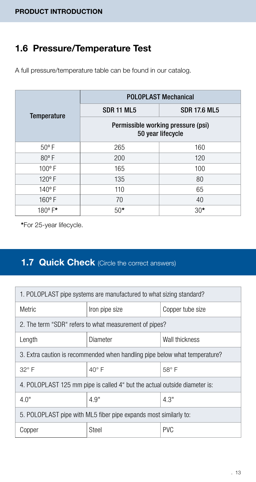### 1.6 Pressure/Temperature Test

A full pressure/temperature table can be found in our catalog.

|                    | <b>POLOPLAST Mechanical</b>                             |                     |  |  |
|--------------------|---------------------------------------------------------|---------------------|--|--|
| <b>Temperature</b> | <b>SDR 11 ML5</b>                                       | <b>SDR 17.6 ML5</b> |  |  |
|                    | Permissible working pressure (psi)<br>50 year lifecycle |                     |  |  |
| $50^{\circ}$ F     | 265                                                     | 160                 |  |  |
| $80°$ F            | 200                                                     | 120                 |  |  |
| $100^{\circ}$ F    | 165                                                     | 100                 |  |  |
| $120^{\circ}$ F    | 135                                                     | 80                  |  |  |
| $140^{\circ}$ F    | 110                                                     | 65                  |  |  |
| $160^{\circ}$ F    | 70                                                      | 40                  |  |  |
| $180^{\circ}$ F*   | $50*$                                                   | $30*$               |  |  |

\*For 25-year lifecycle.

### **1.7 Quick Check** (Circle the correct answers)

| 1. POLOPLAST pipe systems are manufactured to what sizing standard?        |                                                        |                  |  |  |
|----------------------------------------------------------------------------|--------------------------------------------------------|------------------|--|--|
| <b>Metric</b>                                                              | Iron pipe size                                         | Copper tube size |  |  |
|                                                                            | 2. The term "SDR" refers to what measurement of pipes? |                  |  |  |
| Diameter<br>Wall thickness<br>Length                                       |                                                        |                  |  |  |
| 3. Extra caution is recommended when handling pipe below what temperature? |                                                        |                  |  |  |
| $40^\circ$ F<br>$32^\circ$ F                                               |                                                        | $58^\circ$ F     |  |  |
| 4. POLOPLAST 125 mm pipe is called 4" but the actual outside diameter is:  |                                                        |                  |  |  |
| 4.9"<br>4.0"                                                               |                                                        | 4.3"             |  |  |
| 5. POLOPLAST pipe with ML5 fiber pipe expands most similarly to:           |                                                        |                  |  |  |
| Steel<br>Copper                                                            |                                                        | <b>PVC</b>       |  |  |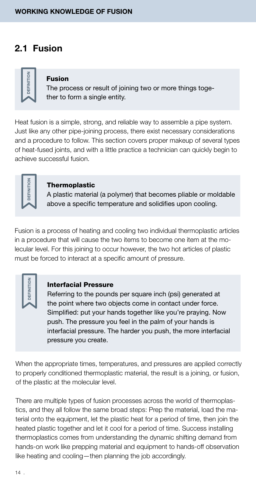### 2.1 Fusion



#### Fusion

The process or result of joining two or more things together to form a single entity.

Heat fusion is a simple, strong, and reliable way to assemble a pipe system. Just like any other pipe-joining process, there exist necessary considerations and a procedure to follow. This section covers proper makeup of several types of heat-fused joints, and with a little practice a technician can quickly begin to achieve successful fusion.

#### Thermoplastic

A plastic material (a polymer) that becomes pliable or moldable above a specific temperature and solidifies upon cooling.

Fusion is a process of heating and cooling two individual thermoplastic articles in a procedure that will cause the two items to become one item at the molecular level. For this joining to occur however, the two hot articles of plastic must be forced to interact at a specific amount of pressure.

**DEFINIT** 

#### Interfacial Pressure

Referring to the pounds per square inch (psi) generated at the point where two objects come in contact under force. Simplified: put your hands together like you're praying. Now push. The pressure you feel in the palm of your hands is interfacial pressure. The harder you push, the more interfacial pressure you create.

When the appropriate times, temperatures, and pressures are applied correctly to properly conditioned thermoplastic material, the result is a joining, or fusion, of the plastic at the molecular level.

There are multiple types of fusion processes across the world of thermoplastics, and they all follow the same broad steps: Prep the material, load the material onto the equipment, let the plastic heat for a period of time, then join the heated plastic together and let it cool for a period of time. Success installing thermoplastics comes from understanding the dynamic shifting demand from hands-on work like prepping material and equipment to hands-off observation like heating and cooling—then planning the job accordingly.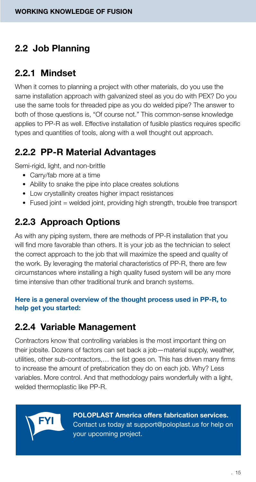### 2.2 Job Planning

### 2.2.1 Mindset

When it comes to planning a project with other materials, do you use the same installation approach with galvanized steel as you do with PEX? Do you use the same tools for threaded pipe as you do welded pipe? The answer to both of those questions is, "Of course not." This common-sense knowledge applies to PP-R as well. Effective installation of fusible plastics requires specific types and quantities of tools, along with a well thought out approach.

### 2.2.2 PP-R Material Advantages

Semi-rigid, light, and non-brittle

- Carry/fab more at a time
- Ability to snake the pipe into place creates solutions
- Low crystallinity creates higher impact resistances
- Fused joint = welded joint, providing high strength, trouble free transport

### 2.2.3 Approach Options

As with any piping system, there are methods of PP-R installation that you will find more favorable than others. It is your job as the technician to select the correct approach to the job that will maximize the speed and quality of the work. By leveraging the material characteristics of PP-R, there are few circumstances where installing a high quality fused system will be any more time intensive than other traditional trunk and branch systems.

#### Here is a general overview of the thought process used in PP-R, to help get you started:

### 2.2.4 Variable Management

Contractors know that controlling variables is the most important thing on their jobsite. Dozens of factors can set back a job—material supply, weather, utilities, other sub-contractors,… the list goes on. This has driven many firms to increase the amount of prefabrication they do on each job. Why? Less variables. More control. And that methodology pairs wonderfully with a light, welded thermoplastic like PP-R.



POLOPLAST America offers fabrication services. Contact us today at support@poloplast.us for help on your upcoming project.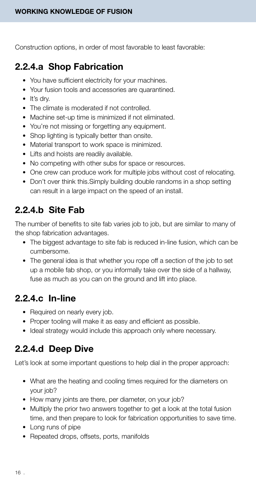Construction options, in order of most favorable to least favorable:

### 2.2.4.a Shop Fabrication

- You have sufficient electricity for your machines.
- Your fusion tools and accessories are quarantined.
- It's dry.
- The climate is moderated if not controlled.
- Machine set-up time is minimized if not eliminated.
- You're not missing or forgetting any equipment.
- Shop lighting is typically better than onsite.
- Material transport to work space is minimized.
- Lifts and hoists are readily available.
- No competing with other subs for space or resources.
- One crew can produce work for multiple jobs without cost of relocating.
- Don't over think this.Simply building double randoms in a shop setting can result in a large impact on the speed of an install.

### 2.2.4.b Site Fab

The number of benefits to site fab varies job to job, but are similar to many of the shop fabrication advantages.

- The biggest advantage to site fab is reduced in-line fusion, which can be cumbersome.
- The general idea is that whether you rope off a section of the job to set up a mobile fab shop, or you informally take over the side of a hallway, fuse as much as you can on the ground and lift into place.

### 2.2.4.c In-line

- Required on nearly every job.
- Proper tooling will make it as easy and efficient as possible.
- Ideal strategy would include this approach only where necessary.

### 2.2.4.d Deep Dive

Let's look at some important questions to help dial in the proper approach:

- What are the heating and cooling times required for the diameters on your job?
- How many joints are there, per diameter, on your job?
- Multiply the prior two answers together to get a look at the total fusion time, and then prepare to look for fabrication opportunities to save time.
- Long runs of pipe
- Repeated drops, offsets, ports, manifolds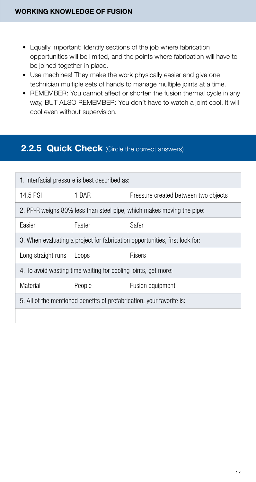- Equally important: Identify sections of the job where fabrication opportunities will be limited, and the points where fabrication will have to be joined together in place.
- Use machines! They make the work physically easier and give one technician multiple sets of hands to manage multiple joints at a time.
- REMEMBER: You cannot affect or shorten the fusion thermal cycle in any way, BUT ALSO REMEMBER: You don't have to watch a joint cool. It will cool even without supervision.

### **2.2.5 Quick Check** (Circle the correct answers)

| 1. Interfacial pressure is best described as:                               |                                               |                                                                       |  |  |  |
|-----------------------------------------------------------------------------|-----------------------------------------------|-----------------------------------------------------------------------|--|--|--|
| 14.5 PSI                                                                    | 1 BAR<br>Pressure created between two objects |                                                                       |  |  |  |
|                                                                             |                                               | 2. PP-R weighs 80% less than steel pipe, which makes moving the pipe: |  |  |  |
| Easier                                                                      | Safer<br>Faster                               |                                                                       |  |  |  |
| 3. When evaluating a project for fabrication opportunities, first look for: |                                               |                                                                       |  |  |  |
| Long straight runs                                                          | <b>Risers</b><br>Loops                        |                                                                       |  |  |  |
| 4. To avoid wasting time waiting for cooling joints, get more:              |                                               |                                                                       |  |  |  |
| Material<br>People<br>Fusion equipment                                      |                                               |                                                                       |  |  |  |
| 5. All of the mentioned benefits of prefabrication, your favorite is:       |                                               |                                                                       |  |  |  |
|                                                                             |                                               |                                                                       |  |  |  |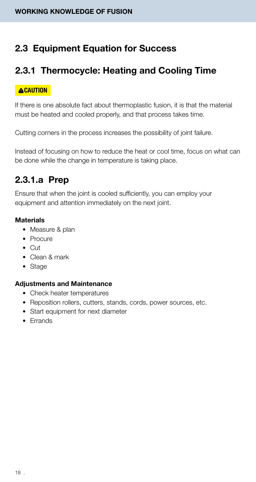### 2.3 Equipment Equation for Success

### 2.3.1 Thermocycle: Heating and Cooling Time

#### **ACAUTION**

If there is one absolute fact about thermoplastic fusion, it is that the material must be heated and cooled properly, and that process takes time.

Cutting corners in the process increases the possibility of joint failure.

Instead of focusing on how to reduce the heat or cool time, focus on what can be done while the change in temperature is taking place.

### 2.3.1.a Prep

Ensure that when the joint is cooled sufficiently, you can employ your equipment and attention immediately on the next joint.

#### **Materials**

- Measure & plan
- Procure
- Cut
- Clean & mark
- Stage

#### Adjustments and Maintenance

- Check heater temperatures
- Reposition rollers, cutters, stands, cords, power sources, etc.
- Start equipment for next diameter
- Errands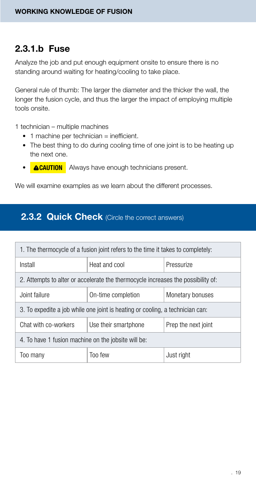### 2.3.1.b Fuse

Analyze the job and put enough equipment onsite to ensure there is no standing around waiting for heating/cooling to take place.

General rule of thumb: The larger the diameter and the thicker the wall, the longer the fusion cycle, and thus the larger the impact of employing multiple tools onsite.

1 technician – multiple machines

- 1 machine per technician = inefficient.
- The best thing to do during cooling time of one joint is to be heating up the next one.
- **ACAUTION** Always have enough technicians present.

We will examine examples as we learn about the different processes.

### **2.3.2 Quick Check** (Circle the correct answers)

| 1. The thermocycle of a fusion joint refers to the time it takes to completely:  |  |            |  |  |  |
|----------------------------------------------------------------------------------|--|------------|--|--|--|
| Heat and cool<br>Install                                                         |  | Pressurize |  |  |  |
| 2. Attempts to alter or accelerate the thermocycle increases the possibility of: |  |            |  |  |  |
| On-time completion<br>Joint failure<br>Monetary bonuses                          |  |            |  |  |  |
| 3. To expedite a job while one joint is heating or cooling, a technician can:    |  |            |  |  |  |
| Chat with co-workers<br>Use their smartphone<br>Prep the next joint              |  |            |  |  |  |
| 4. To have 1 fusion machine on the jobsite will be:                              |  |            |  |  |  |
| Too few<br>Just right<br>Too many                                                |  |            |  |  |  |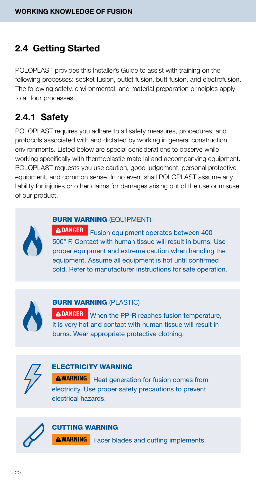### 2.4 Getting Started

POLOPLAST provides this Installer's Guide to assist with training on the following processes: socket fusion, outlet fusion, butt fusion, and electrofusion. The following safety, environmental, and material preparation principles apply to all four processes.

### 2.4.1 Safety

POLOPLAST requires you adhere to all safety measures, procedures, and protocols associated with and dictated by working in general construction environments. Listed below are special considerations to observe while working specifically with thermoplastic material and accompanying equipment. POLOPLAST requests you use caution, good judgement, personal protective equipment, and common sense. In no event shall POLOPLAST assume any liability for injuries or other claims for damages arising out of the use or misuse of our product.



#### BURN WARNING (EQUIPMENT)

DANGER Fusion equipment operates between 400-500° F. Contact with human tissue will result in burns. Use proper equipment and extreme caution when handling the equipment. Assume all equipment is hot until confirmed cold. Refer to manufacturer instructions for safe operation.



#### BURN WARNING (PLASTIC)

**DANGER** When the PP-R reaches fusion temperature, it is very hot and contact with human tissue will result in burns. Wear appropriate protective clothing.



#### ELECTRICITY WARNING

**WARNING** Heat generation for fusion comes from electricity. Use proper safety precautions to prevent electrical hazards.

#### CUTTING WARNING

**WARNING** Facer blades and cutting implements.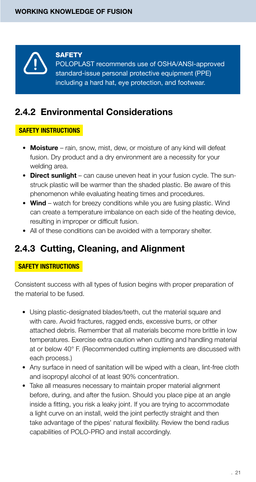

#### **SAFETY**

POLOPLAST recommends use of OSHA/ANSI-approved standard-issue personal protective equipment (PPE) including a hard hat, eye protection, and footwear.

### 2.4.2 Environmental Considerations

#### SAFETY INSTRUCTIONS

- Moisture rain, snow, mist, dew, or moisture of any kind will defeat fusion. Dry product and a dry environment are a necessity for your welding area.
- Direct sunlight can cause uneven heat in your fusion cycle. The sunstruck plastic will be warmer than the shaded plastic. Be aware of this phenomenon while evaluating heating times and procedures.
- Wind watch for breezy conditions while you are fusing plastic. Wind can create a temperature imbalance on each side of the heating device, resulting in improper or difficult fusion.
- All of these conditions can be avoided with a temporary shelter.

### 2.4.3 Cutting, Cleaning, and Alignment

#### SAFETY INSTRUCTIONS

Consistent success with all types of fusion begins with proper preparation of the material to be fused.

- Using plastic-designated blades/teeth, cut the material square and with care. Avoid fractures, ragged ends, excessive burrs, or other attached debris. Remember that all materials become more brittle in low temperatures. Exercise extra caution when cutting and handling material at or below 40° F. (Recommended cutting implements are discussed with each process.)
- Any surface in need of sanitation will be wiped with a clean, lint-free cloth and isopropyl alcohol of at least 90% concentration.
- Take all measures necessary to maintain proper material alignment before, during, and after the fusion. Should you place pipe at an angle inside a fitting, you risk a leaky joint. If you are trying to accommodate a light curve on an install, weld the joint perfectly straight and then take advantage of the pipes' natural flexibility. Review the bend radius capabilities of POLO-PRO and install accordingly.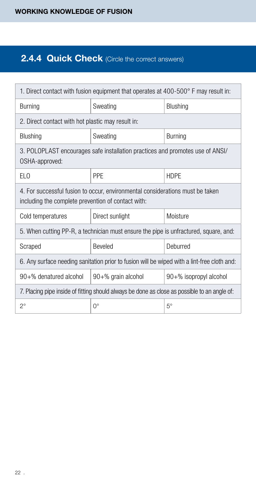### 2.4.4 Quick Check (Circle the correct answers)

| 1. Direct contact with fusion equipment that operates at 400-500° F may result in:                                                  |                                                                                              |                |  |  |  |  |  |
|-------------------------------------------------------------------------------------------------------------------------------------|----------------------------------------------------------------------------------------------|----------------|--|--|--|--|--|
| Burning                                                                                                                             | Sweating                                                                                     | Blushing       |  |  |  |  |  |
| 2. Direct contact with hot plastic may result in:                                                                                   |                                                                                              |                |  |  |  |  |  |
| Blushing                                                                                                                            | Sweating                                                                                     | <b>Burning</b> |  |  |  |  |  |
| 3. POLOPLAST encourages safe installation practices and promotes use of ANSI/<br>OSHA-approved:                                     |                                                                                              |                |  |  |  |  |  |
| ELO                                                                                                                                 | PPF                                                                                          | <b>HDPE</b>    |  |  |  |  |  |
| 4. For successful fusion to occur, environmental considerations must be taken<br>including the complete prevention of contact with: |                                                                                              |                |  |  |  |  |  |
| Cold temperatures                                                                                                                   | Direct sunlight                                                                              | Moisture       |  |  |  |  |  |
|                                                                                                                                     | 5. When cutting PP-R, a technician must ensure the pipe is unfractured, square, and:         |                |  |  |  |  |  |
| Scraped                                                                                                                             | <b>Beveled</b>                                                                               | Deburred       |  |  |  |  |  |
|                                                                                                                                     | 6. Any surface needing sanitation prior to fusion will be wiped with a lint-free cloth and:  |                |  |  |  |  |  |
| $90 +$ % denatured alcohol<br>$90+%$ grain alcohol<br>$90+%$ isopropyl alcohol                                                      |                                                                                              |                |  |  |  |  |  |
|                                                                                                                                     | 7. Placing pipe inside of fitting should always be done as close as possible to an angle of: |                |  |  |  |  |  |
| $2^{\circ}$                                                                                                                         | 0°                                                                                           | $5^\circ$      |  |  |  |  |  |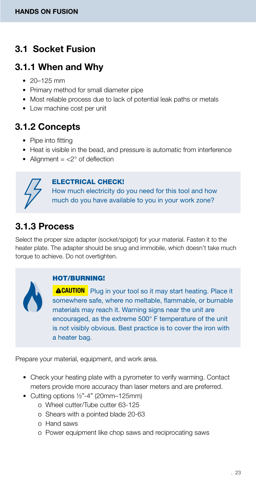### 3.1 Socket Fusion

### 3.1.1 When and Why

- $20 125$  mm
- Primary method for small diameter pipe
- Most reliable process due to lack of potential leak paths or metals
- Low machine cost per unit

### 3.1.2 Concepts

- Pipe into fitting
- Heat is visible in the bead, and pressure is automatic from interference
- Alignment  $=$  <2 $\degree$  of deflection

#### ELECTRICAL CHECK!

How much electricity do you need for this tool and how much do you have available to you in your work zone?

### 3.1.3 Process

Select the proper size adapter (socket/spigot) for your material. Fasten it to the heater plate. The adapter should be snug and immobile, which doesn't take much torque to achieve. Do not overtighten.



#### HOT/BURNING!

**CAUTION** Plug in your tool so it may start heating. Place it somewhere safe, where no meltable, flammable, or burnable materials may reach it. Warning signs near the unit are encouraged, as the extreme 500° F temperature of the unit is not visibly obvious. Best practice is to cover the iron with a heater bag.

Prepare your material, equipment, and work area.

- Check your heating plate with a pyrometer to verify warming. Contact meters provide more accuracy than laser meters and are preferred.
- Cutting options ½"-4" (20mm–125mm)
	- o Wheel cutter/Tube cutter 63-125
	- o Shears with a pointed blade 20-63
	- o Hand saws
	- o Power equipment like chop saws and reciprocating saws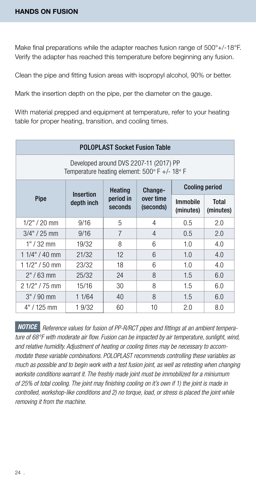Make final preparations while the adapter reaches fusion range of 500°+/-18°F. Verify the adapter has reached this temperature before beginning any fusion.

Clean the pipe and fitting fusion areas with isopropyl alcohol, 90% or better.

Mark the insertion depth on the pipe, per the diameter on the gauge.

With material prepped and equipment at temperature, refer to your heating table for proper heating, transition, and cooling times.

| <b>POLOPLAST Socket Fusion Table</b>                                                    |            |                      |                        |                              |                    |  |  |  |  |
|-----------------------------------------------------------------------------------------|------------|----------------------|------------------------|------------------------------|--------------------|--|--|--|--|
| Developed around DVS 2207-11 (2017) PP<br>Temperature heating element: 500° F +/- 18° F |            |                      |                        |                              |                    |  |  |  |  |
| <b>Cooling period</b><br><b>Heating</b><br>Change-<br><b>Insertion</b>                  |            |                      |                        |                              |                    |  |  |  |  |
| Pipe                                                                                    | depth inch | period in<br>seconds | over time<br>(seconds) | <b>Immobile</b><br>(minutes) | Total<br>(minutes) |  |  |  |  |
| $1/2" / 20$ mm                                                                          | 9/16       | 5                    | 4                      | 0.5                          | 2.0                |  |  |  |  |
| $3/4" / 25$ mm                                                                          | 9/16       | 7                    | 4                      | 0.5                          | 2.0                |  |  |  |  |
| $1" / 32$ mm                                                                            | 19/32      | 8                    | 6                      | 1.0                          | 4.0                |  |  |  |  |
| $11/4" / 40$ mm                                                                         | 21/32      | 12                   | 6                      | 1.0                          | 4.0                |  |  |  |  |
| $11/2" / 50$ mm                                                                         | 23/32      | 18                   | 6                      | 1.0                          | 4.0                |  |  |  |  |
| $2" / 63$ mm                                                                            | 25/32      | 24                   | 8                      | 1.5                          | 6.0                |  |  |  |  |
| 2 1/2" / 75 mm                                                                          | 15/16      | 30                   | 8                      | 1.5                          | 6.0                |  |  |  |  |
| $3" / 90$ mm                                                                            | 1 1/64     | 40                   | 8                      | 1.5                          | 6.0                |  |  |  |  |
| 4" / 125 mm                                                                             | 1 9/32     | 60                   | 10                     | 2.0                          | 8.0                |  |  |  |  |

 *Reference values for fusion of PP-R/RCT pipes and fittings at an ambient tempera-NOTICEture of 68°F with moderate air flow. Fusion can be impacted by air temperature, sunlight, wind, and relative humidity. Adjustment of heating or cooling times may be necessary to accommodate these variable combinations. POLOPLAST recommends controlling these variables as much as possible and to begin work with a test fusion joint, as well as retesting when changing worksite conditions warrant it. The freshly made joint must be immobilized for a miniumum of 25% of total cooling. The joint may finishing cooling on it's own if 1) the joint is made in controlled, workshop-like conditions and 2) no torque, load, or stress is placed the joint while removing it from the machine.*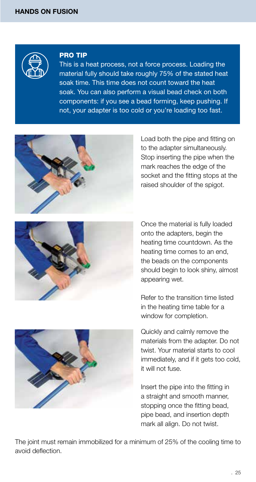

#### PRO TIP

This is a heat process, not a force process. Loading the material fully should take roughly 75% of the stated heat soak time. This time does not count toward the heat soak. You can also perform a visual bead check on both components: if you see a bead forming, keep pushing. If not, your adapter is too cold or you're loading too fast.



Load both the pipe and fitting on to the adapter simultaneously. Stop inserting the pipe when the mark reaches the edge of the socket and the fitting stops at the raised shoulder of the spigot.



Once the material is fully loaded onto the adapters, begin the heating time countdown. As the heating time comes to an end, the beads on the components should begin to look shiny, almost appearing wet.

Refer to the transition time listed in the heating time table for a window for completion.

Quickly and calmly remove the materials from the adapter. Do not twist. Your material starts to cool immediately, and if it gets too cold, it will not fuse.

Insert the pipe into the fitting in a straight and smooth manner, stopping once the fitting bead, pipe bead, and insertion depth mark all align. Do not twist.

The joint must remain immobilized for a minimum of 25% of the cooling time to avoid deflection.

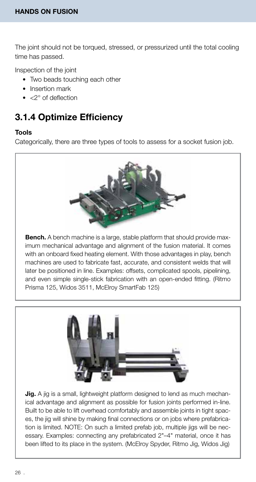The joint should not be torqued, stressed, or pressurized until the total cooling time has passed.

Inspection of the joint

- Two beads touching each other
- Insertion mark
- <2° of deflection

### 3.1.4 Optimize Efficiency

#### Tools

Categorically, there are three types of tools to assess for a socket fusion job.



**Bench.** A bench machine is a large, stable platform that should provide maximum mechanical advantage and alignment of the fusion material. It comes with an onboard fixed heating element. With those advantages in play, bench machines are used to fabricate fast, accurate, and consistent welds that will later be positioned in line. Examples: offsets, complicated spools, pipelining, and even simple single-stick fabrication with an open-ended fitting. (Ritmo Prisma 125, Widos 3511, McElroy SmartFab 125)



**Jig.** A jig is a small, lightweight platform designed to lend as much mechanical advantage and alignment as possible for fusion joints performed in-line. Built to be able to lift overhead comfortably and assemble joints in tight spaces, the jig will shine by making final connections or on jobs where prefabrication is limited. NOTE: On such a limited prefab job, multiple jigs will be necessary. Examples: connecting any prefabricated 2"–4" material, once it has been lifted to its place in the system. (McElroy Spyder, Ritmo Jig, Widos Jig)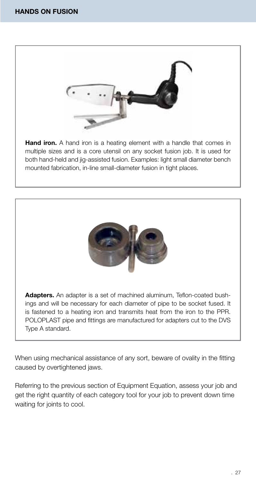

Hand iron. A hand iron is a heating element with a handle that comes in multiple sizes and is a core utensil on any socket fusion job. It is used for both hand-held and jig-assisted fusion. Examples: light small diameter bench mounted fabrication, in-line small-diameter fusion in tight places.



Adapters. An adapter is a set of machined aluminum, Teflon-coated bushings and will be necessary for each diameter of pipe to be socket fused. It is fastened to a heating iron and transmits heat from the iron to the PPR. POLOPLAST pipe and fittings are manufactured for adapters cut to the DVS Type A standard.

When using mechanical assistance of any sort, beware of ovality in the fitting caused by overtightened jaws.

Referring to the previous section of Equipment Equation, assess your job and get the right quantity of each category tool for your job to prevent down time waiting for joints to cool.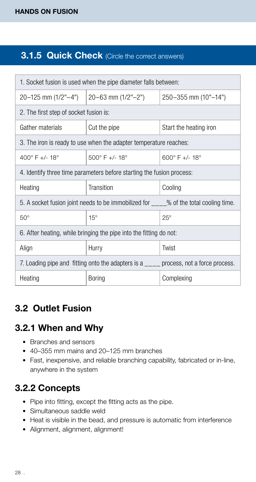### **3.1.5 Quick Check** (Circle the correct answers)

| 1. Socket fusion is used when the pipe diameter falls between:                        |                                                                       |                                                                                       |  |  |  |  |  |
|---------------------------------------------------------------------------------------|-----------------------------------------------------------------------|---------------------------------------------------------------------------------------|--|--|--|--|--|
|                                                                                       | 20–125 mm (1/2"–4")   20–63 mm (1/2"–2")                              | 250-355 mm (10"-14")                                                                  |  |  |  |  |  |
| 2. The first step of socket fusion is:                                                |                                                                       |                                                                                       |  |  |  |  |  |
| Gather materials                                                                      | Cut the pipe                                                          | Start the heating iron                                                                |  |  |  |  |  |
| 3. The iron is ready to use when the adapter temperature reaches:                     |                                                                       |                                                                                       |  |  |  |  |  |
| $400^{\circ}$ F +/- 18 $^{\circ}$                                                     | $500^{\circ}$ F +/- 18°                                               | $600^{\circ}$ F +/- 18°                                                               |  |  |  |  |  |
|                                                                                       | 4. Identify three time parameters before starting the fusion process: |                                                                                       |  |  |  |  |  |
| Heating                                                                               | Transition                                                            | Cooling                                                                               |  |  |  |  |  |
|                                                                                       |                                                                       | 5. A socket fusion joint needs to be immobilized for ____% of the total cooling time. |  |  |  |  |  |
| $50^\circ$                                                                            | $15^\circ$                                                            | $25^\circ$                                                                            |  |  |  |  |  |
|                                                                                       | 6. After heating, while bringing the pipe into the fitting do not:    |                                                                                       |  |  |  |  |  |
| Align                                                                                 | Hurry                                                                 | Twist                                                                                 |  |  |  |  |  |
| 7. Loading pipe and fitting onto the adapters is a ____ process, not a force process. |                                                                       |                                                                                       |  |  |  |  |  |
| Heating                                                                               | <b>Boring</b>                                                         | Complexing                                                                            |  |  |  |  |  |

### 3.2 Outlet Fusion

### 3.2.1 When and Why

- Branches and sensors
- 40–355 mm mains and 20–125 mm branches
- Fast, inexpensive, and reliable branching capability, fabricated or in-line, anywhere in the system

### 3.2.2 Concepts

- Pipe into fitting, except the fitting acts as the pipe.
- Simultaneous saddle weld
- Heat is visible in the bead, and pressure is automatic from interference
- Alignment, alignment, alignment!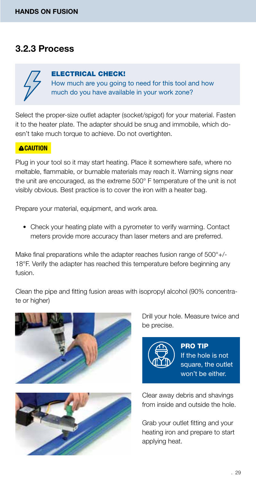### 3.2.3 Process

### ELECTRICAL CHECK!

How much are you going to need for this tool and how

much do you have available in your work zone?

Select the proper-size outlet adapter (socket/spigot) for your material. Fasten it to the heater plate. The adapter should be snug and immobile, which doesn't take much torque to achieve. Do not overtighten.

#### **ACAUTION**

Plug in your tool so it may start heating. Place it somewhere safe, where no meltable, flammable, or burnable materials may reach it. Warning signs near the unit are encouraged, as the extreme 500° F temperature of the unit is not visibly obvious. Best practice is to cover the iron with a heater bag.

Prepare your material, equipment, and work area.

• Check your heating plate with a pyrometer to verify warming. Contact meters provide more accuracy than laser meters and are preferred.

Make final preparations while the adapter reaches fusion range of 500°+/-18°F. Verify the adapter has reached this temperature before beginning any fusion.

Clean the pipe and fitting fusion areas with isopropyl alcohol (90% concentrate or higher)





Drill your hole. Measure twice and be precise.



PRO TIP If the hole is not square, the outlet won't be either.

Clear away debris and shavings from inside and outside the hole.

Grab your outlet fitting and your heating iron and prepare to start applying heat.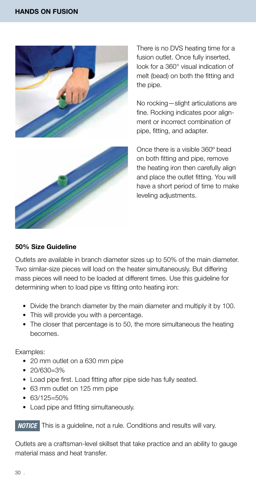

There is no DVS heating time for a fusion outlet. Once fully inserted, look for a 360° visual indication of melt (bead) on both the fitting and the pipe.

No rocking—slight articulations are fine. Rocking indicates poor alignment or incorrect combination of pipe, fitting, and adapter.



Once there is a visible 360° bead on both fitting and pipe, remove the heating iron then carefully align and place the outlet fitting. You will have a short period of time to make leveling adjustments.

#### 50% Size Guideline

Outlets are available in branch diameter sizes up to 50% of the main diameter. Two similar-size pieces will load on the heater simultaneously. But differing mass pieces will need to be loaded at different times. Use this guideline for determining when to load pipe vs fitting onto heating iron:

- Divide the branch diameter by the main diameter and multiply it by 100.
- This will provide you with a percentage.
- The closer that percentage is to 50, the more simultaneous the heating becomes.

Examples:

- 20 mm outlet on a 630 mm pipe
- 20/630=3%
- Load pipe first. Load fitting after pipe side has fully seated.
- 63 mm outlet on 125 mm pipe
- 63/125=50%
- Load pipe and fitting simultaneously.

**NOTICE** This is a guideline, not a rule. Conditions and results will vary.

Outlets are a craftsman-level skillset that take practice and an ability to gauge material mass and heat transfer.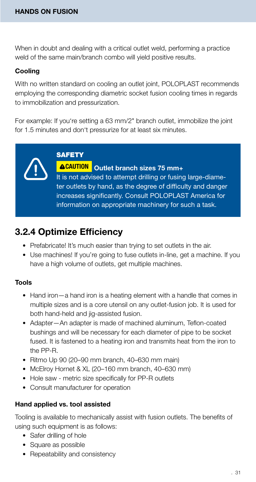When in doubt and dealing with a critical outlet weld, performing a practice weld of the same main/branch combo will yield positive results.

#### Cooling

With no written standard on cooling an outlet joint, POLOPLAST recommends employing the corresponding diametric socket fusion cooling times in regards to immobilization and pressurization.

For example: If you're setting a 63 mm/2" branch outlet, immobilize the joint for 1.5 minutes and don't pressurize for at least six minutes.

**SAFETY** 

CAUTION Outlet branch sizes 75 mm+ It is not advised to attempt drilling or fusing large-diameter outlets by hand, as the degree of difficulty and danger increases significantly. Consult POLOPLAST America for information on appropriate machinery for such a task.

### 3.2.4 Optimize Efficiency

- Prefabricate! It's much easier than trying to set outlets in the air.
- Use machines! If you're going to fuse outlets in-line, get a machine. If you have a high volume of outlets, get multiple machines.

#### Tools

- Hand iron—a hand iron is a heating element with a handle that comes in multiple sizes and is a core utensil on any outlet-fusion job. It is used for both hand-held and jig-assisted fusion.
- Adapter—An adapter is made of machined aluminum, Teflon-coated bushings and will be necessary for each diameter of pipe to be socket fused. It is fastened to a heating iron and transmits heat from the iron to the PP-R.
- Ritmo Up 90 (20–90 mm branch, 40–630 mm main)
- McElroy Hornet & XL (20–160 mm branch, 40–630 mm)
- Hole saw metric size specifically for PP-R outlets
- Consult manufacturer for operation

#### Hand applied vs. tool assisted

Tooling is available to mechanically assist with fusion outlets. The benefits of using such equipment is as follows:

- Safer drilling of hole
- Square as possible
- Repeatability and consistency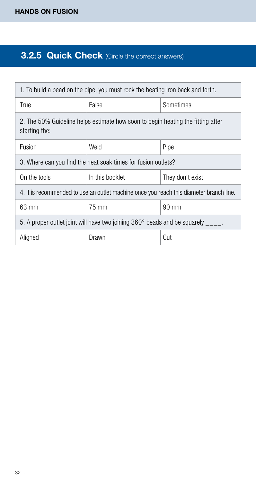### **3.2.5 Quick Check** (Circle the correct answers)

| 1. To build a bead on the pipe, you must rock the heating iron back and forth.                   |                                                               |                  |  |  |  |  |
|--------------------------------------------------------------------------------------------------|---------------------------------------------------------------|------------------|--|--|--|--|
| <b>True</b>                                                                                      | False<br>Sometimes                                            |                  |  |  |  |  |
| 2. The 50% Guideline helps estimate how soon to begin heating the fitting after<br>starting the: |                                                               |                  |  |  |  |  |
| Fusion                                                                                           | Weld                                                          | Pipe             |  |  |  |  |
|                                                                                                  | 3. Where can you find the heat soak times for fusion outlets? |                  |  |  |  |  |
| On the tools                                                                                     | In this booklet                                               | They don't exist |  |  |  |  |
| 4. It is recommended to use an outlet machine once you reach this diameter branch line.          |                                                               |                  |  |  |  |  |
| 63 mm                                                                                            | 75 mm                                                         | 90 mm            |  |  |  |  |
| 5. A proper outlet joint will have two joining 360° beads and be squarely                        |                                                               |                  |  |  |  |  |
| Aligned                                                                                          | Drawn                                                         | Cut              |  |  |  |  |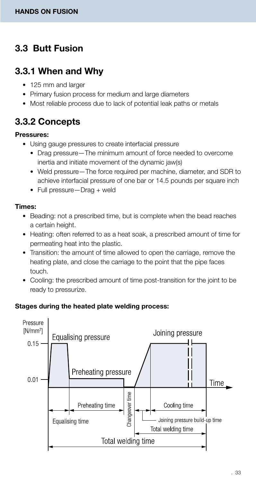### 3.3 Butt Fusion

### 3.3.1 When and Why

- 125 mm and larger
- Primary fusion process for medium and large diameters
- Most reliable process due to lack of potential leak paths or metals

### 3.3.2 Concepts

#### Pressures:

- Using gauge pressures to create interfacial pressure
	- Drag pressure—The minimum amount of force needed to overcome inertia and initiate movement of the dynamic jaw(s)
	- Weld pressure—The force required per machine, diameter, and SDR to achieve interfacial pressure of one bar or 14.5 pounds per square inch
	- Full pressure—Drag + weld

#### Times:

- Beading: not a prescribed time, but is complete when the bead reaches a certain height.
- Heating: often referred to as a heat soak, a prescribed amount of time for permeating heat into the plastic.
- Transition: the amount of time allowed to open the carriage, remove the heating plate, and close the carriage to the point that the pipe faces touch.
- Cooling: the prescribed amount of time post-transition for the joint to be ready to pressurize.

#### Stages during the heated plate welding process:

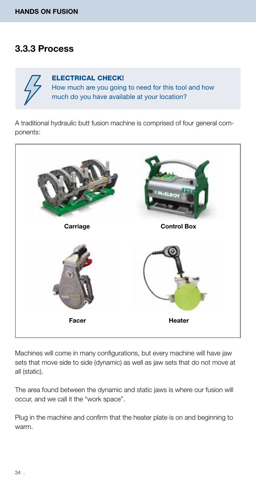### 3.3.3 Process



ELECTRICAL CHECK! How much are you going to need for this tool and how much do you have available at your location?

A traditional hydraulic butt fusion machine is comprised of four general components:



Machines will come in many configurations, but every machine will have jaw sets that move side to side (dynamic) as well as jaw sets that do not move at all (static).

The area found between the dynamic and static jaws is where our fusion will occur, and we call it the "work space".

Plug in the machine and confirm that the heater plate is on and beginning to warm.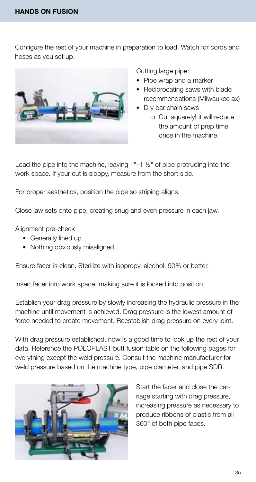Configure the rest of your machine in preparation to load. Watch for cords and hoses as you set up.



Cutting large pipe:

- Pipe wrap and a marker
- Reciprocating saws with blade recommendations (Milwaukee ax)
- Dry bar chain saws o Cut squarely! It will reduce the amount of prep time once in the machine.

Load the pipe into the machine, leaving 1"–1 ½" of pipe protruding into the work space. If your cut is sloppy, measure from the short side.

For proper aesthetics, position the pipe so striping aligns.

Close jaw sets onto pipe, creating snug and even pressure in each jaw.

Alignment pre-check

- Generally lined up
- Nothing obviously misaligned

Ensure facer is clean. Sterilize with isopropyl alcohol, 90% or better.

Insert facer into work space, making sure it is locked into position.

Establish your drag pressure by slowly increasing the hydraulic pressure in the machine until movement is achieved. Drag pressure is the lowest amount of force needed to create movement. Reestablish drag pressure on every joint.

With drag pressure established, now is a good time to look up the rest of your data. Reference the POLOPLAST butt fusion table on the following pages for everything except the weld pressure. Consult the machine manufacturer for weld pressure based on the machine type, pipe diameter, and pipe SDR.



Start the facer and close the carriage starting with drag pressure, increasing pressure as necessary to produce ribbons of plastic from all 360° of both pipe faces.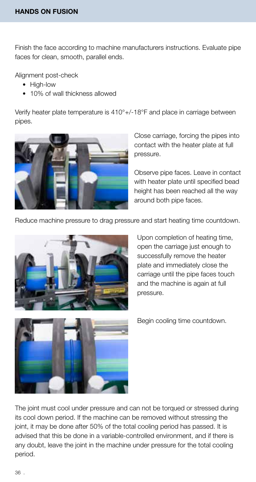Finish the face according to machine manufacturers instructions. Evaluate pipe faces for clean, smooth, parallel ends.

Alignment post-check

- High-low
- 10% of wall thickness allowed

Verify heater plate temperature is 410°+/-18°F and place in carriage between pipes.



Close carriage, forcing the pipes into contact with the heater plate at full pressure.

Observe pipe faces. Leave in contact with heater plate until specified bead height has been reached all the way around both pipe faces.

Reduce machine pressure to drag pressure and start heating time countdown.



Upon completion of heating time, open the carriage just enough to successfully remove the heater plate and immediately close the carriage until the pipe faces touch and the machine is again at full pressure.



Begin cooling time countdown.

The joint must cool under pressure and can not be torqued or stressed during its cool down period. If the machine can be removed without stressing the joint, it may be done after 50% of the total cooling period has passed. It is advised that this be done in a variable-controlled environment, and if there is any doubt, leave the joint in the machine under pressure for the total cooling period.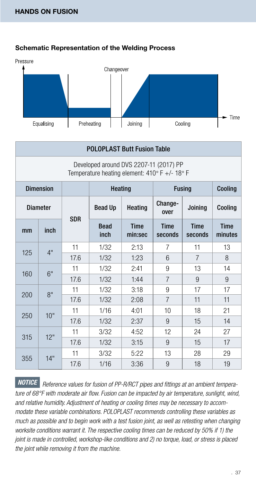



| <b>POLOPLAST Butt Fusion Table</b>                                                      |                  |            |                     |                        |                        |                        |                        |   |  |
|-----------------------------------------------------------------------------------------|------------------|------------|---------------------|------------------------|------------------------|------------------------|------------------------|---|--|
| Developed around DVS 2207-11 (2017) PP<br>Temperature heating element: 410° F +/- 18° F |                  |            |                     |                        |                        |                        |                        |   |  |
|                                                                                         | <b>Dimension</b> |            | <b>Heating</b>      |                        |                        | <b>Fusing</b>          | Cooling                |   |  |
|                                                                                         | <b>Diameter</b>  | <b>SDR</b> | <b>Bead Up</b>      | Heating                | Change-<br>over        | Joining                |                        |   |  |
| mm                                                                                      | inch             |            | <b>Bead</b><br>inch | <b>Time</b><br>min:sec | <b>Time</b><br>seconds | <b>Time</b><br>seconds | <b>Time</b><br>minutes |   |  |
| 125                                                                                     | 4"               | 11         | 1/32                | 2:13                   | 7                      | 11                     | 13                     |   |  |
|                                                                                         |                  | 17.6       | 1/32                | 1:23                   | 6                      | $\overline{7}$         | 8                      |   |  |
| 160                                                                                     | 6"               | 11         | 1/32                | 2:41                   | 9                      | 13                     | 14                     |   |  |
|                                                                                         |                  |            | 17.6                | 1/32                   | 1:44                   | 7                      | 9                      | 9 |  |
| 200                                                                                     | $R$ "            | 11         | 1/32                | 3:18                   | 9                      | 17                     | 17                     |   |  |
|                                                                                         |                  | 17.6       | 1/32                | 2:08                   | $\overline{7}$         | 11                     | 11                     |   |  |
| 250                                                                                     | 10"              | 11         | 1/16                | 4:01                   | 10                     | 18                     | 21                     |   |  |
|                                                                                         |                  | 17.6       | 1/32                | 2:37                   | 9                      | 15                     | 14                     |   |  |
|                                                                                         |                  | 11         | 3/32                | 4:52                   | 12                     | 24                     | 27                     |   |  |
| 12"<br>315                                                                              |                  | 17.6       | 1/32                | 3:15                   | 9                      | 15                     | 17                     |   |  |
| 355                                                                                     | 14"              | 11         | 3/32                | 5:22                   | 13                     | 28                     | 29                     |   |  |
|                                                                                         |                  | 17.6       | 1/16                | 3:36                   | 9                      | 18                     | 19                     |   |  |

 *Reference values for fusion of PP-R/RCT pipes and fittings at an ambient tempera-NOTICEture of 68°F with moderate air flow. Fusion can be impacted by air temperature, sunlight, wind, and relative humidity. Adjustment of heating or cooling times may be necessary to accommodate these variable combinations. POLOPLAST recommends controlling these variables as much as possible and to begin work with a test fusion joint, as well as retesting when changing worksite conditions warrant it. The respective cooling times can be reduced by 50% if 1) the joint is made in controlled, workshop-like conditions and 2) no torque, load, or stress is placed the joint while removing it from the machine.*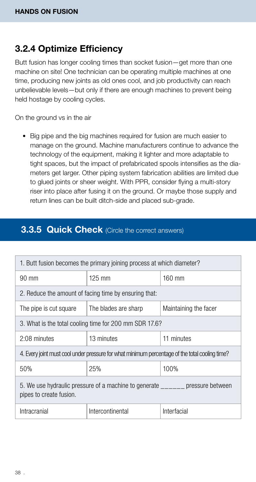### 3.2.4 Optimize Efficiency

Butt fusion has longer cooling times than socket fusion—get more than one machine on site! One technician can be operating multiple machines at one time, producing new joints as old ones cool, and job productivity can reach unbelievable levels—but only if there are enough machines to prevent being held hostage by cooling cycles.

On the ground vs in the air

• Big pipe and the big machines required for fusion are much easier to manage on the ground. Machine manufacturers continue to advance the technology of the equipment, making it lighter and more adaptable to tight spaces, but the impact of prefabricated spools intensifies as the diameters get larger. Other piping system fabrication abilities are limited due to glued joints or sheer weight. With PPR, consider flying a multi-story riser into place after fusing it on the ground. Or maybe those supply and return lines can be built ditch-side and placed sub-grade.

### **3.3.5 Quick Check** (Circle the correct answers)

| 1. Butt fusion becomes the primary joining process at which diameter?                             |                                                                                                |                       |  |  |  |  |  |
|---------------------------------------------------------------------------------------------------|------------------------------------------------------------------------------------------------|-----------------------|--|--|--|--|--|
| $90 \text{ mm}$                                                                                   | 125 mm                                                                                         | $160$ mm              |  |  |  |  |  |
| 2. Reduce the amount of facing time by ensuring that:                                             |                                                                                                |                       |  |  |  |  |  |
| The pipe is cut square                                                                            | The blades are sharp                                                                           | Maintaining the facer |  |  |  |  |  |
| 3. What is the total cooling time for 200 mm SDR 17.6?                                            |                                                                                                |                       |  |  |  |  |  |
| 2:08 minutes                                                                                      | 13 minutes                                                                                     | 11 minutes            |  |  |  |  |  |
|                                                                                                   | 4. Every joint must cool under pressure for what minimum percentage of the total cooling time? |                       |  |  |  |  |  |
| 50%                                                                                               | 25%                                                                                            | 100%                  |  |  |  |  |  |
| 5. We use hydraulic pressure of a machine to generate pressure between<br>pipes to create fusion. |                                                                                                |                       |  |  |  |  |  |
| Intracranial                                                                                      | Intercontinental                                                                               | Interfacial           |  |  |  |  |  |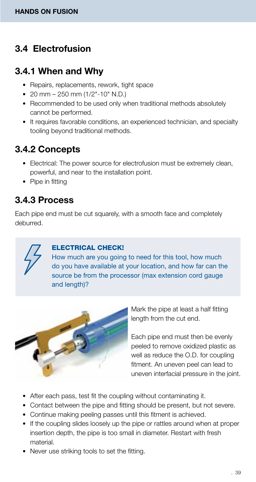### 3.4 Electrofusion

### 3.4.1 When and Why

- Repairs, replacements, rework, tight space
- 20 mm  $-$  250 mm  $(1/2" 10"$  N.D.)
- Recommended to be used only when traditional methods absolutely cannot be performed.
- It requires favorable conditions, an experienced technician, and specialty tooling beyond traditional methods.

### 3.4.2 Concepts

- Electrical: The power source for electrofusion must be extremely clean, powerful, and near to the installation point.
- Pipe in fitting

### 3.4.3 Process

Each pipe end must be cut squarely, with a smooth face and completely deburred.



#### ELECTRICAL CHECK!

How much are you going to need for this tool, how much do you have available at your location, and how far can the source be from the processor (max extension cord gauge and length)?



Mark the pipe at least a half fitting length from the cut end.

Each pipe end must then be evenly peeled to remove oxidized plastic as well as reduce the O.D. for coupling fitment. An uneven peel can lead to uneven interfacial pressure in the joint.

- After each pass, test fit the coupling without contaminating it.
- Contact between the pipe and fitting should be present, but not severe.
- Continue making peeling passes until this fitment is achieved.
- If the coupling slides loosely up the pipe or rattles around when at proper insertion depth, the pipe is too small in diameter. Restart with fresh material.
- Never use striking tools to set the fitting.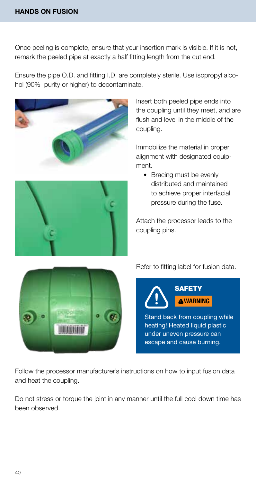Once peeling is complete, ensure that your insertion mark is visible. If it is not, remark the peeled pipe at exactly a half fitting length from the cut end.

Ensure the pipe O.D. and fitting I.D. are completely sterile. Use isopropyl alcohol (90% purity or higher) to decontaminate.





Insert both peeled pipe ends into the coupling until they meet, and are flush and level in the middle of the coupling.

Immobilize the material in proper alignment with designated equipment.

• Bracing must be evenly distributed and maintained to achieve proper interfacial pressure during the fuse.

Attach the processor leads to the coupling pins.



Refer to fitting label for fusion data.



Stand back from coupling while heating! Heated liquid plastic under uneven pressure can escape and cause burning.

Follow the processor manufacturer's instructions on how to input fusion data and heat the coupling.

Do not stress or torque the joint in any manner until the full cool down time has been observed.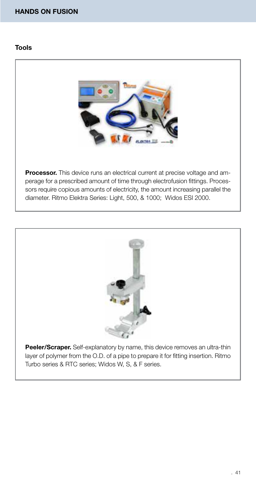#### HANDS ON FUSION

#### Tools



**Processor.** This device runs an electrical current at precise voltage and amperage for a prescribed amount of time through electrofusion fittings. Processors require copious amounts of electricity, the amount increasing parallel the diameter. Ritmo Elektra Series: Light, 500, & 1000; Widos ESI 2000.



Peeler/Scraper. Self-explanatory by name, this device removes an ultra-thin layer of polymer from the O.D. of a pipe to prepare it for fitting insertion. Ritmo Turbo series & RTC series; Widos W, S, & F series.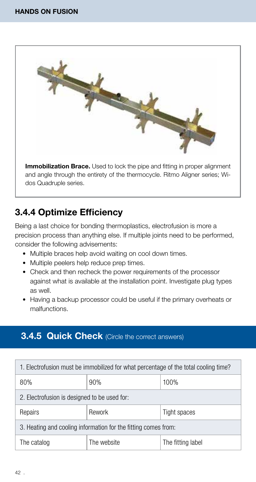

### 3.4.4 Optimize Efficiency

Being a last choice for bonding thermoplastics, electrofusion is more a precision process than anything else. If multiple joints need to be performed, consider the following advisements:

- Multiple braces help avoid waiting on cool down times.
- Multiple peelers help reduce prep times.
- Check and then recheck the power requirements of the processor against what is available at the installation point. Investigate plug types as well.
- Having a backup processor could be useful if the primary overheats or malfunctions.

### **3.4.5 Quick Check** (Circle the correct answers)

| 1. Electrofusion must be immobilized for what percentage of the total cooling time? |                                  |  |  |  |  |  |
|-------------------------------------------------------------------------------------|----------------------------------|--|--|--|--|--|
| 80%                                                                                 | 90%<br>100%                      |  |  |  |  |  |
| 2. Electrofusion is designed to be used for:                                        |                                  |  |  |  |  |  |
| Repairs                                                                             | Rework<br>Tight spaces           |  |  |  |  |  |
| 3. Heating and cooling information for the fitting comes from:                      |                                  |  |  |  |  |  |
| The catalog                                                                         | The website<br>The fitting label |  |  |  |  |  |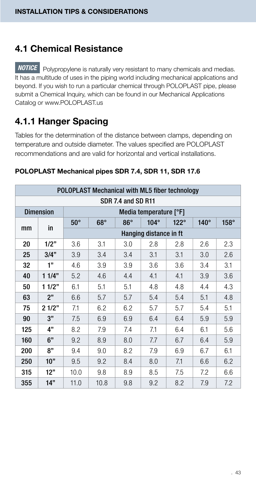### 4.1 Chemical Resistance

**NOTICE** Polypropylene is naturally very resistant to many chemicals and medias. It has a multitude of uses in the piping world including mechanical applications and beyond. If you wish to run a particular chemical through POLOPLAST pipe, please submit a Chemical Inquiry, which can be found in our Mechanical Applications Catalog or www.POLOPLAST.us

### 4.1.1 Hanger Spacing

Tables for the determination of the distance between clamps, depending on temperature and outside diameter. The values specified are POLOPLAST recommendations and are valid for horizontal and vertical installations.

| POLOPLAST Mechanical with ML5 fiber technology |                  |            |            |            |                        |             |             |             |
|------------------------------------------------|------------------|------------|------------|------------|------------------------|-------------|-------------|-------------|
| SDR 7.4 and SD R11                             |                  |            |            |            |                        |             |             |             |
|                                                | <b>Dimension</b> |            |            |            | Media temperature [°F] |             |             |             |
|                                                | in               | $50^\circ$ | $68^\circ$ | $86^\circ$ | $104^\circ$            | $122^\circ$ | $140^\circ$ | $158^\circ$ |
| mm                                             |                  |            |            |            | Hanging distance in ft |             |             |             |
| 20                                             | 1/2"             | 3.6        | 3.1        | 3.0        | 2.8                    | 2.8         | 2.6         | 2.3         |
| 25                                             | 3/4"             | 3.9        | 3.4        | 3.4        | 3.1                    | 3.1         | 3.0         | 2.6         |
| 32                                             | 1"               | 4.6        | 3.9        | 3.9        | 3.6                    | 3.6         | 3.4         | 3.1         |
| 40                                             | 11/4"            | 5.2        | 4.6        | 4.4        | 4.1                    | 4.1         | 3.9         | 3.6         |
| 50                                             | 11/2"            | 6.1        | 5.1        | 5.1        | 4.8                    | 4.8         | 4.4         | 4.3         |
| 63                                             | 2"               | 6.6        | 5.7        | 5.7        | 5.4                    | 5.4         | 5.1         | 4.8         |
| 75                                             | 21/2"            | 7.1        | 6.2        | 6.2        | 5.7                    | 5.7         | 5.4         | 5.1         |
| 90                                             | 3"               | 7.5        | 6.9        | 6.9        | 6.4                    | 6.4         | 5.9         | 5.9         |
| 125                                            | 4"               | 8.2        | 7.9        | 7.4        | 7.1                    | 6.4         | 6.1         | 5.6         |
| 160                                            | 6"               | 9.2        | 8.9        | 8.0        | 7.7                    | 6.7         | 6.4         | 5.9         |
| 200                                            | 8"               | 9.4        | 9.0        | 8.2        | 7.9                    | 6.9         | 6.7         | 6.1         |
| 250                                            | 10"              | 9.5        | 9.2        | 8.4        | 8.0                    | 7.1         | 6.6         | 6.2         |
| 315                                            | 12"              | 10.0       | 9.8        | 8.9        | 8.5                    | 7.5         | 7.2         | 6.6         |
| 355                                            | 14"              | 11.0       | 10.8       | 9.8        | 9.2                    | 8.2         | 7.9         | 7.2         |

#### POLOPLAST Mechanical pipes SDR 7.4, SDR 11, SDR 17.6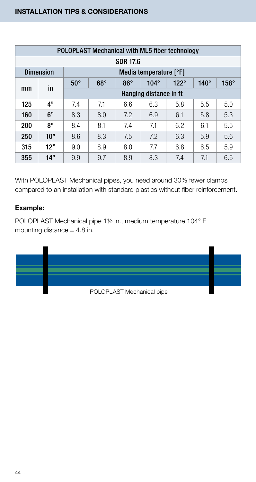| POLOPLAST Mechanical with ML5 fiber technology |                  |            |            |            |                        |             |             |             |  |  |
|------------------------------------------------|------------------|------------|------------|------------|------------------------|-------------|-------------|-------------|--|--|
|                                                | <b>SDR 17.6</b>  |            |            |            |                        |             |             |             |  |  |
|                                                | <b>Dimension</b> |            |            |            | Media temperature [°F] |             |             |             |  |  |
| mm                                             | in               | $50^\circ$ | $68^\circ$ | $86^\circ$ | $104^\circ$            | $122^\circ$ | $140^\circ$ | $158^\circ$ |  |  |
|                                                |                  |            |            |            | Hanging distance in ft |             |             |             |  |  |
| 125                                            | 4"               | 7.4        | 7.1        | 6.6        | 6.3                    | 5.8         | 5.5         | 5.0         |  |  |
| 160                                            | 6"               | 8.3        | 8.0        | 7.2        | 6.9                    | 6.1         | 5.8         | 5.3         |  |  |
| 200                                            | 8"               | 8.4        | 8.1        | 7.4        | 7.1                    | 6.2         | 6.1         | 5.5         |  |  |
| 250                                            | 10"              | 8.6        | 8.3        | 7.5        | 7.2                    | 6.3         | 5.9         | 5.6         |  |  |
| 315                                            | 12"              | 9.0        | 8.9        | 8.0        | 7.7                    | 6.8         | 6.5         | 5.9         |  |  |
| 355                                            | 14"              | 9.9        | 9.7        | 8.9        | 8.3                    | 7.4         | 7.1         | 6.5         |  |  |

With POLOPLAST Mechanical pipes, you need around 30% fewer clamps compared to an installation with standard plastics without fiber reinforcement.

#### Example:

POLOPLAST Mechanical pipe 1½ in., medium temperature 104° F mounting distance  $= 4.8$  in.

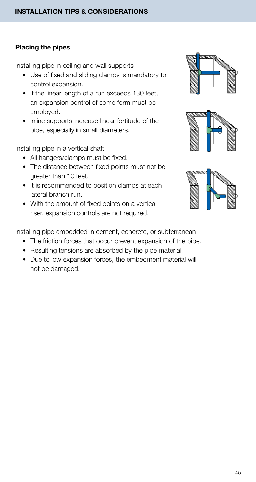#### Placing the pipes

Installing pipe in ceiling and wall supports

- Use of fixed and sliding clamps is mandatory to control expansion.
- If the linear length of a run exceeds 130 feet, an expansion control of some form must be employed.
- Inline supports increase linear fortitude of the pipe, especially in small diameters.

Installing pipe in a vertical shaft

- All hangers/clamps must be fixed.
- The distance between fixed points must not be greater than 10 feet.
- It is recommended to position clamps at each lateral branch run.
- With the amount of fixed points on a vertical riser, expansion controls are not required.







Installing pipe embedded in cement, concrete, or subterranean

- The friction forces that occur prevent expansion of the pipe.
- Resulting tensions are absorbed by the pipe material.
- Due to low expansion forces, the embedment material will not be damaged.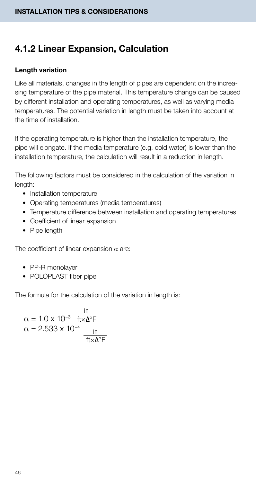### 4.1.2 Linear Expansion, Calculation

#### Length variation

Like all materials, changes in the length of pipes are dependent on the increasing temperature of the pipe material. This temperature change can be caused by different installation and operating temperatures, as well as varying media temperatures. The potential variation in length must be taken into account at the time of installation.

If the operating temperature is higher than the installation temperature, the pipe will elongate. If the media temperature (e.g. cold water) is lower than the installation temperature, the calculation will result in a reduction in length.

The following factors must be considered in the calculation of the variation in length:

- Installation temperature
- Operating temperatures (media temperatures)
- Temperature difference between installation and operating temperatures
- Coefficient of linear expansion
- Pipe length

The coefficient of linear expansion  $\alpha$  are:

- PP-R monolayer
- POLOPLAST fiber pipe

The formula for the calculation of the variation in length is:

$$
\alpha = 1.0 \times 10^{-3} \frac{\text{in}}{\text{ft} \times \Delta^{\circ} \text{F}}
$$

$$
\alpha = 2.533 \times 10^{-4} \frac{\text{in}}{\text{ft} \times \Delta^{\circ} \text{F}}
$$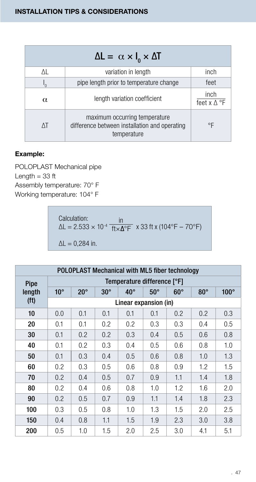|          | $\Delta L = \alpha \times I_0 \times \Delta T$                                                |                            |
|----------|-----------------------------------------------------------------------------------------------|----------------------------|
| ΛL       | variation in length                                                                           | inch                       |
|          | pipe length prior to temperature change                                                       | feet                       |
| $\alpha$ | length variation coefficient                                                                  | inch<br>feet $x \wedge$ °F |
|          | maximum occurring temperature<br>difference between installation and operating<br>temperature | °F                         |

#### Example:

POLOPLAST Mechanical pipe Length  $= 33$  ft Assembly temperature: 70° F Working temperature: 104° F

> Calculation: ΔL = 2.533 × 10-4 x 33 ft x (104°F – 70°F) in  $\Delta L = 0,284$  in. ft×Δ°F

|                   | POLOPLAST Mechanical with ML5 fiber technology |              |            |                       |            |            |            |             |
|-------------------|------------------------------------------------|--------------|------------|-----------------------|------------|------------|------------|-------------|
| Pipe              | Temperature difference [°F]                    |              |            |                       |            |            |            |             |
| length            | $10^{\circ}$                                   | $20^{\circ}$ | $30^\circ$ | $40^{\circ}$          | $50^\circ$ | $60^\circ$ | $80^\circ$ | $100^\circ$ |
| (f <sup>t</sup> ) |                                                |              |            | Linear expansion (in) |            |            |            |             |
| 10                | 0.0                                            | 0.1          | 0.1        | 0.1                   | 0.1        | 0.2        | 0.2        | 0.3         |
| 20                | 0.1                                            | 0.1          | 0.2        | 0.2                   | 0.3        | 0.3        | 0.4        | 0.5         |
| 30                | 0.1                                            | 0.2          | 0.2        | 0.3                   | 0.4        | 0.5        | 0.6        | 0.8         |
| 40                | 0.1                                            | 0.2          | 0.3        | 0.4                   | 0.5        | 0.6        | 0.8        | 1.0         |
| 50                | 0.1                                            | 0.3          | 0.4        | 0.5                   | 0.6        | 0.8        | 1.0        | 1.3         |
| 60                | 0.2                                            | 0.3          | 0.5        | 0.6                   | 0.8        | 0.9        | 1.2        | 1.5         |
| 70                | 0.2                                            | 0.4          | 0.5        | 0.7                   | 0.9        | 1.1        | 1.4        | 1.8         |
| 80                | 0.2                                            | 0.4          | 0.6        | 0.8                   | 1.0        | 1.2        | 1.6        | 2.0         |
| 90                | 0.2                                            | 0.5          | 0.7        | 0.9                   | 1.1        | 1.4        | 1.8        | 2.3         |
| 100               | 0.3                                            | 0.5          | 0.8        | 1.0                   | 1.3        | 1.5        | 2.0        | 2.5         |
| 150               | 0.4                                            | 0.8          | 1.1        | 1.5                   | 1.9        | 2.3        | 3.0        | 3.8         |
| 200               | 0.5                                            | 1.0          | 1.5        | 2.0                   | 2.5        | 3.0        | 4.1        | 5.1         |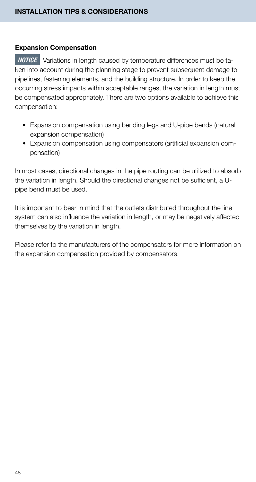#### Expansion Compensation

**NOTICE** Variations in length caused by temperature differences must be taken into account during the planning stage to prevent subsequent damage to pipelines, fastening elements, and the building structure. In order to keep the occurring stress impacts within acceptable ranges, the variation in length must be compensated appropriately. There are two options available to achieve this compensation:

- Expansion compensation using bending legs and U-pipe bends (natural expansion compensation)
- Expansion compensation using compensators (artificial expansion compensation)

In most cases, directional changes in the pipe routing can be utilized to absorb the variation in length. Should the directional changes not be sufficient, a Upipe bend must be used.

It is important to bear in mind that the outlets distributed throughout the line system can also influence the variation in length, or may be negatively affected themselves by the variation in length.

Please refer to the manufacturers of the compensators for more information on the expansion compensation provided by compensators.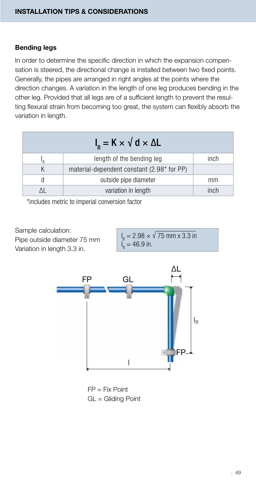#### Bending legs

In order to determine the specific direction in which the expansion compensation is steered, the directional change is installed between two fixed points. Generally, the pipes are arranged in right angles at the points where the direction changes. A variation in the length of one leg produces bending in the other leg. Provided that all legs are of a sufficient length to prevent the resulting flexural strain from becoming too great, the system can flexibly absorb the variation in length.

| $I_{\rm B}$ = K $\times$ V d $\times$ $\Delta$ L |      |
|--------------------------------------------------|------|
| length of the bending leg                        | inch |
| material-dependent constant (2.98* for PP)       |      |
| outside pipe diameter                            | mm   |
| variation in length                              | inch |

\*includes metric to imperial conversion factor

Sample calculation: Pipe outside diameter 75 mm Variation in length 3.3 in.

l  $B_{\rm B} = 2.98 \times \sqrt{75} \text{ mm} \times 3.3 \text{ in}$ l  $_{\rm B}$  = 46.9 in.



FP = Fix Point GL = Gliding Point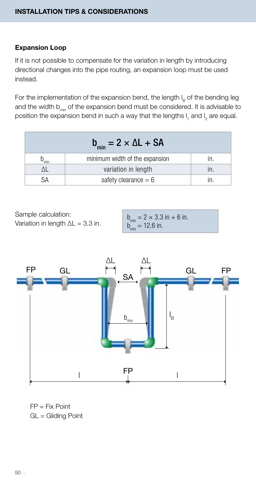#### Expansion Loop

If it is not possible to compensate for the variation in length by introducing directional changes into the pipe routing, an expansion loop must be used instead.

For the implementation of the expansion bend, the length  $I_B$  of the bending leg and the width  $b_{\text{min}}$  of the expansion bend must be considered. It is advisable to position the expansion bend in such a way that the lengths  $I_1$  and  $I_2$  are equal.

|     | $b_{\min} = 2 \times \Delta L + SA$ |  |
|-----|-------------------------------------|--|
| min | minimum width of the expansion      |  |
|     | variation in length                 |  |
|     | safety clearance $= 6$              |  |

Sample calculation: Variation in length  $\Delta L = 3.3$  in.

 $b_{\min} = 2 \times 3.3$  in + 6 in.  $b_{\min} = 12.6$  in.



FP = Fix Point GL = Gliding Point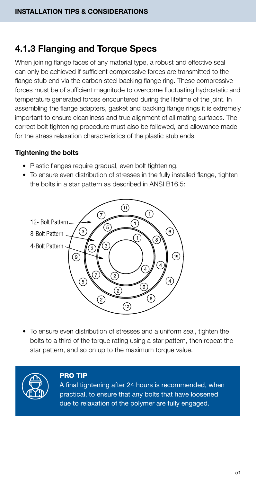### 4.1.3 Flanging and Torque Specs

When joining flange faces of any material type, a robust and effective seal can only be achieved if sufficient compressive forces are transmitted to the flange stub end via the carbon steel backing flange ring. These compressive forces must be of sufficient magnitude to overcome fluctuating hydrostatic and temperature generated forces encountered during the lifetime of the joint. In assembling the flange adapters, gasket and backing flange rings it is extremely important to ensure cleanliness and true alignment of all mating surfaces. The correct bolt tightening procedure must also be followed, and allowance made for the stress relaxation characteristics of the plastic stub ends.

#### Tightening the bolts

- Plastic flanges require gradual, even bolt tightening.
- To ensure even distribution of stresses in the fully installed flange, tighten the bolts in a star pattern as described in ANSI B16.5:



• To ensure even distribution of stresses and a uniform seal, tighten the bolts to a third of the torque rating using a star pattern, then repeat the star pattern, and so on up to the maximum torque value.



#### PRO TIP

A final tightening after 24 hours is recommended, when practical, to ensure that any bolts that have loosened due to relaxation of the polymer are fully engaged.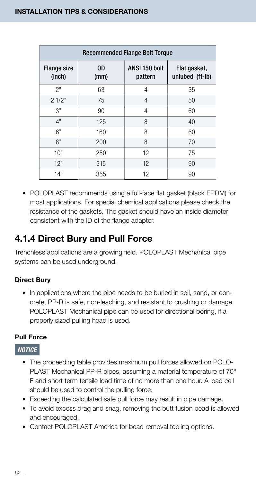| <b>Recommended Flange Bolt Torque</b> |            |                          |                                 |  |
|---------------------------------------|------------|--------------------------|---------------------------------|--|
| Flange size<br>(inch)                 | 0D<br>(mm) | ANSI 150 bolt<br>pattern | Flat gasket,<br>unlubed (ft-lb) |  |
| 2"                                    | 63         | 4                        | 35                              |  |
| 21/2"                                 | 75         | 4                        | 50                              |  |
| 3"                                    | 90         | 4                        | 60                              |  |
| 4"                                    | 125        | 8                        | 40                              |  |
| 6"                                    | 160        | 8                        | 60                              |  |
| 8"                                    | 200        | 8                        | 70                              |  |
| 10"                                   | 250        | 12                       | 75                              |  |
| 12"                                   | 315        | 12                       | 90                              |  |
| 14"                                   | 355        | 12                       | 90                              |  |

• POLOPLAST recommends using a full-face flat gasket (black EPDM) for most applications. For special chemical applications please check the resistance of the gaskets. The gasket should have an inside diameter consistent with the ID of the flange adapter.

### 4.1.4 Direct Bury and Pull Force

Trenchless applications are a growing field. POLOPLAST Mechanical pipe systems can be used underground.

#### Direct Bury

• In applications where the pipe needs to be buried in soil, sand, or concrete, PP-R is safe, non-leaching, and resistant to crushing or damage. POLOPLAST Mechanical pipe can be used for directional boring, if a properly sized pulling head is used.

#### Pull Force

#### *NOTICE*

- The proceeding table provides maximum pull forces allowed on POLO-PLAST Mechanical PP-R pipes, assuming a material temperature of 70° F and short term tensile load time of no more than one hour. A load cell should be used to control the pulling force.
- Exceeding the calculated safe pull force may result in pipe damage.
- To avoid excess drag and snag, removing the butt fusion bead is allowed and encouraged.
- Contact POLOPLAST America for bead removal tooling options.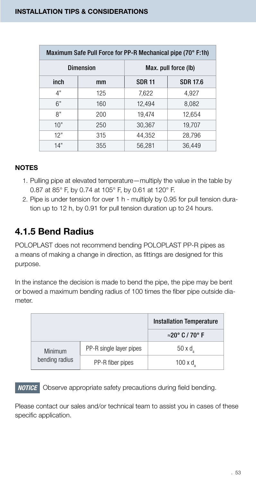| Maximum Safe Pull Force for PP-R Mechanical pipe (70° F:1h) |     |                      |                 |
|-------------------------------------------------------------|-----|----------------------|-----------------|
| <b>Dimension</b>                                            |     | Max. pull force (lb) |                 |
| inch                                                        | mm  | <b>SDR 11</b>        | <b>SDR 17.6</b> |
| 4"                                                          | 125 | 7,622                | 4,927           |
| 6"                                                          | 160 | 12,494               | 8,082           |
| 8"                                                          | 200 | 19,474               | 12,654          |
| 10"                                                         | 250 | 30,367               | 19,707          |
| 12"                                                         | 315 | 44,352               | 28,796          |
| 14"                                                         | 355 | 56,281               | 36,449          |

- 1. Pulling pipe at elevated temperature—multiply the value in the table by 0.87 at 85° F, by 0.74 at 105° F, by 0.61 at 120° F.
- 2. Pipe is under tension for over 1 h multiply by 0.95 for pull tension duration up to 12 h, by 0.91 for pull tension duration up to 24 hours.

### 4.1.5 Bend Radius

POLOPLAST does not recommend bending POLOPLAST PP-R pipes as a means of making a change in direction, as fittings are designed for this purpose.

In the instance the decision is made to bend the pipe, the pipe may be bent or bowed a maximum bending radius of 100 times the fiber pipe outside diameter.

|                |                         | <b>Installation Temperature</b> |
|----------------|-------------------------|---------------------------------|
|                |                         | $\approx$ 20° C / 70° F         |
| Minimum        | PP-R single layer pipes | $50 \times d$                   |
| bending radius | PP-R fiber pipes        | $100 \times d$                  |

 Observe appropriate safety precautions during field bending. *NOTICE*

Please contact our sales and/or technical team to assist you in cases of these specific application.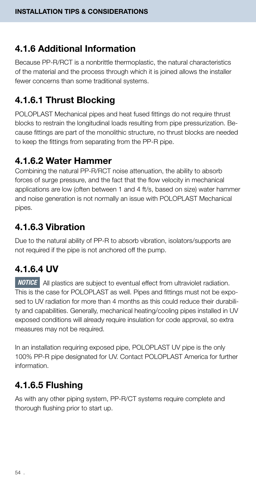### 4.1.6 Additional Information

Because PP-R/RCT is a nonbrittle thermoplastic, the natural characteristics of the material and the process through which it is joined allows the installer fewer concerns than some traditional systems.

### 4.1.6.1 Thrust Blocking

POLOPLAST Mechanical pipes and heat fused fittings do not require thrust blocks to restrain the longitudinal loads resulting from pipe pressurization. Because fittings are part of the monolithic structure, no thrust blocks are needed to keep the fittings from separating from the PP-R pipe.

### 4.1.6.2 Water Hammer

Combining the natural PP-R/RCT noise attenuation, the ability to absorb forces of surge pressure, and the fact that the flow velocity in mechanical applications are low (often between 1 and 4 ft/s, based on size) water hammer and noise generation is not normally an issue with POLOPLAST Mechanical pipes.

### 4.1.6.3 Vibration

Due to the natural ability of PP-R to absorb vibration, isolators/supports are not required if the pipe is not anchored off the pump.

### 4.1.6.4 UV

**NOTICE** All plastics are subject to eventual effect from ultraviolet radiation. This is the case for POLOPLAST as well. Pipes and fittings must not be exposed to UV radiation for more than 4 months as this could reduce their durability and capabilities. Generally, mechanical heating/cooling pipes installed in UV exposed conditions will already require insulation for code approval, so extra measures may not be required.

In an installation requiring exposed pipe, POLOPLAST UV pipe is the only 100% PP-R pipe designated for UV. Contact POLOPLAST America for further information.

### 4.1.6.5 Flushing

As with any other piping system, PP-R/CT systems require complete and thorough flushing prior to start up.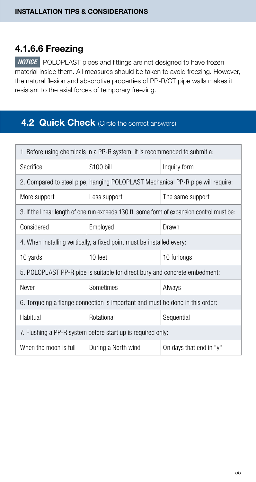### 4.1.6.6 Freezing

*NOTICE* POLOPLAST pipes and fittings are not designed to have frozen material inside them. All measures should be taken to avoid freezing. However, the natural flexion and absorptive properties of PP-R/CT pipe walls makes it resistant to the axial forces of temporary freezing.

### 4.2 Quick Check (Circle the correct answers)

| 1. Before using chemicals in a PP-R system, it is recommended to submit a:                 |                     |                         |  |  |
|--------------------------------------------------------------------------------------------|---------------------|-------------------------|--|--|
| Sacrifice                                                                                  | \$100 bill          | Inquiry form            |  |  |
| 2. Compared to steel pipe, hanging POLOPLAST Mechanical PP-R pipe will require:            |                     |                         |  |  |
| More support                                                                               | Less support        | The same support        |  |  |
| 3. If the linear length of one run exceeds 130 ft, some form of expansion control must be: |                     |                         |  |  |
| Considered                                                                                 | Employed            | Drawn                   |  |  |
| 4. When installing vertically, a fixed point must be installed every:                      |                     |                         |  |  |
| 10 yards                                                                                   | 10 feet             | 10 furlongs             |  |  |
| 5. POLOPLAST PP-R pipe is suitable for direct bury and concrete embedment:                 |                     |                         |  |  |
| Never                                                                                      | Sometimes           | Always                  |  |  |
| 6. Torqueing a flange connection is important and must be done in this order:              |                     |                         |  |  |
| Habitual                                                                                   | Rotational          | Sequential              |  |  |
| 7. Flushing a PP-R system before start up is required only:                                |                     |                         |  |  |
| When the moon is full                                                                      | During a North wind | On days that end in "y" |  |  |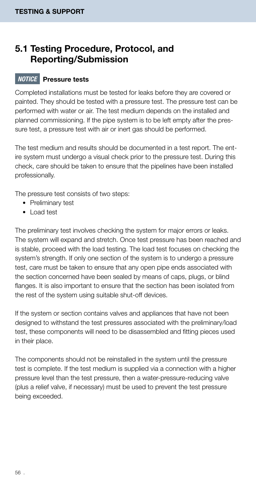### 5.1 Testing Procedure, Protocol, and Reporting/Submission

#### *NOTICE* Pressure tests

Completed installations must be tested for leaks before they are covered or painted. They should be tested with a pressure test. The pressure test can be performed with water or air. The test medium depends on the installed and planned commissioning. If the pipe system is to be left empty after the pressure test, a pressure test with air or inert gas should be performed.

The test medium and results should be documented in a test report. The entire system must undergo a visual check prior to the pressure test. During this check, care should be taken to ensure that the pipelines have been installed professionally.

The pressure test consists of two steps:

- Preliminary test
- Load test

The preliminary test involves checking the system for major errors or leaks. The system will expand and stretch. Once test pressure has been reached and is stable, proceed with the load testing. The load test focuses on checking the system's strength. If only one section of the system is to undergo a pressure test, care must be taken to ensure that any open pipe ends associated with the section concerned have been sealed by means of caps, plugs, or blind flanges. It is also important to ensure that the section has been isolated from the rest of the system using suitable shut-off devices.

If the system or section contains valves and appliances that have not been designed to withstand the test pressures associated with the preliminary/load test, these components will need to be disassembled and fitting pieces used in their place.

The components should not be reinstalled in the system until the pressure test is complete. If the test medium is supplied via a connection with a higher pressure level than the test pressure, then a water-pressure-reducing valve (plus a relief valve, if necessary) must be used to prevent the test pressure being exceeded.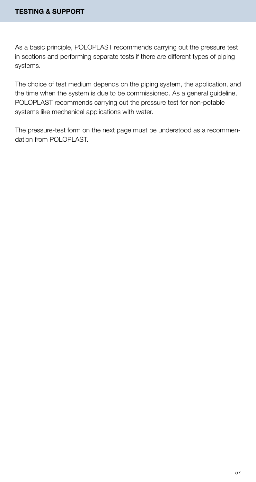As a basic principle, POLOPLAST recommends carrying out the pressure test in sections and performing separate tests if there are different types of piping systems.

The choice of test medium depends on the piping system, the application, and the time when the system is due to be commissioned. As a general guideline, POLOPLAST recommends carrying out the pressure test for non-potable systems like mechanical applications with water.

The pressure-test form on the next page must be understood as a recommendation from POLOPLAST.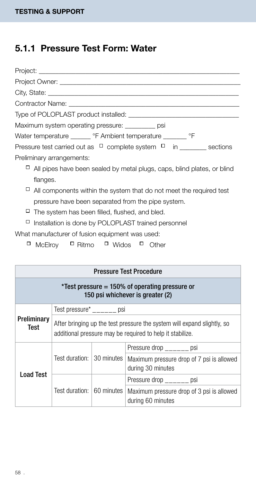### 5.1.1 Pressure Test Form: Water

| Project: the contract of the contract of the contract of the contract of the contract of the contract of the contract of the contract of the contract of the contract of the contract of the contract of the contract of the c |
|--------------------------------------------------------------------------------------------------------------------------------------------------------------------------------------------------------------------------------|
|                                                                                                                                                                                                                                |
|                                                                                                                                                                                                                                |
| Contractor Name: The contractor of the contractor of the contractor of the contractor of the contractor of the contractor of the contractor of the contractor of the contractor of the contractor of the contractor of the con |
|                                                                                                                                                                                                                                |
| Maximum system operating pressure: psi                                                                                                                                                                                         |
| Water temperature _______ °F Ambient temperature _______ °F                                                                                                                                                                    |
| Pressure test carried out as $\Box$ complete system $\Box$ in sections                                                                                                                                                         |
| Preliminary arrangements:                                                                                                                                                                                                      |
| 0<br>All pipes have been sealed by metal plugs, caps, blind plates, or blind                                                                                                                                                   |
| flanges.                                                                                                                                                                                                                       |
| All components within the system that do not meet the required test                                                                                                                                                            |
| pressure have been separated from the pipe system.                                                                                                                                                                             |
| □<br>The system has been filled, flushed, and bled.                                                                                                                                                                            |
| □<br>Installation is done by POLOPLAST trained personnel                                                                                                                                                                       |
| What manufacturer of fusion equipment was used:                                                                                                                                                                                |
| □<br>McElrov $\Box$ Ritmo $\Box$ Widos $\Box$ Other                                                                                                                                                                            |
|                                                                                                                                                                                                                                |

| <b>Pressure Test Procedure</b>                                                        |                                                                                                                                      |                                                                |                                                                |  |
|---------------------------------------------------------------------------------------|--------------------------------------------------------------------------------------------------------------------------------------|----------------------------------------------------------------|----------------------------------------------------------------|--|
| $*$ Test pressure = 150% of operating pressure or<br>150 psi whichever is greater (2) |                                                                                                                                      |                                                                |                                                                |  |
|                                                                                       | Test pressure* psi                                                                                                                   |                                                                |                                                                |  |
| Preliminary<br>Test                                                                   | After bringing up the test pressure the system will expand slightly, so<br>additional pressure may be required to help it stabilize. |                                                                |                                                                |  |
|                                                                                       | Test duration: 130 minutes                                                                                                           | Pressure drop bsi                                              |                                                                |  |
|                                                                                       |                                                                                                                                      | Maximum pressure drop of 7 psi is allowed<br>during 30 minutes |                                                                |  |
| Load Test                                                                             | Test duration: 60 minutes                                                                                                            |                                                                | Pressure drop bsi                                              |  |
|                                                                                       |                                                                                                                                      |                                                                | Maximum pressure drop of 3 psi is allowed<br>during 60 minutes |  |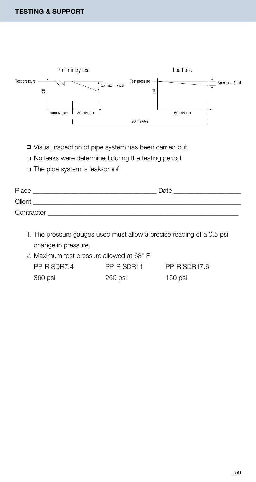

Visual inspection of pipe system has been carried out

No leaks were determined during the testing period

The pipe system is leak-proof

| Place      | Date |
|------------|------|
| Client     |      |
| Contractor |      |

- 1. The pressure gauges used must allow a precise reading of a 0.5 psi change in pressure.
- 2. Maximum test pressure allowed at 68° F

| PP-R SDR7.4 | PP-R SDR11 | PP-R SDR17.6 |
|-------------|------------|--------------|
| 360 psi     | 260 psi    | $150$ psi    |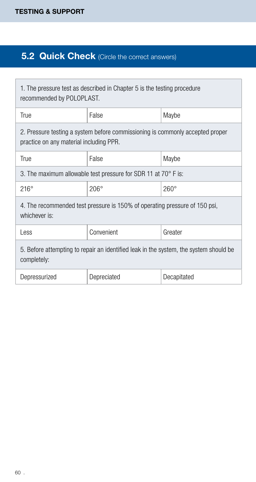### **5.2 Quick Check** (Circle the correct answers)

| 1. The pressure test as described in Chapter 5 is the testing procedure<br>recommended by POLOPLAST.                     |             |             |  |
|--------------------------------------------------------------------------------------------------------------------------|-------------|-------------|--|
| True                                                                                                                     | False       | Maybe       |  |
| 2. Pressure testing a system before commissioning is commonly accepted proper<br>practice on any material including PPR. |             |             |  |
| True                                                                                                                     | False       | Maybe       |  |
| 3. The maximum allowable test pressure for SDR 11 at 70° F is:                                                           |             |             |  |
| $216^\circ$                                                                                                              | $206^\circ$ | $260^\circ$ |  |
| 4. The recommended test pressure is 150% of operating pressure of 150 psi,<br>whichever is:                              |             |             |  |
| Less                                                                                                                     | Convenient  | Greater     |  |
| 5. Before attempting to repair an identified leak in the system, the system should be<br>completely:                     |             |             |  |
| Depressurized                                                                                                            | Depreciated | Decapitated |  |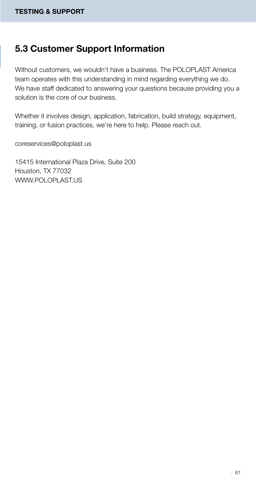### 5.3 Customer Support Information

Without customers, we wouldn't have a business. The POLOPLAST America team operates with this understanding in mind regarding everything we do. We have staff dedicated to answering your questions because providing you a solution is the core of our business.

Whether it involves design, application, fabrication, build strategy, equipment, training, or fusion practices, we're here to help. Please reach out.

coreservices@poloplast.us

15415 International Plaza Drive, Suite 200 Houston, TX 77032 WWW.POLOPLAST.US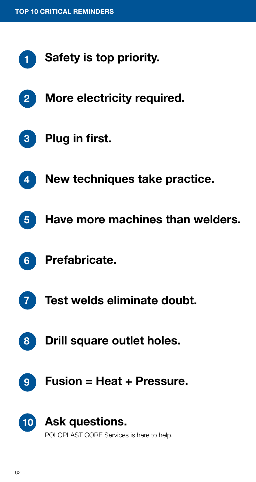